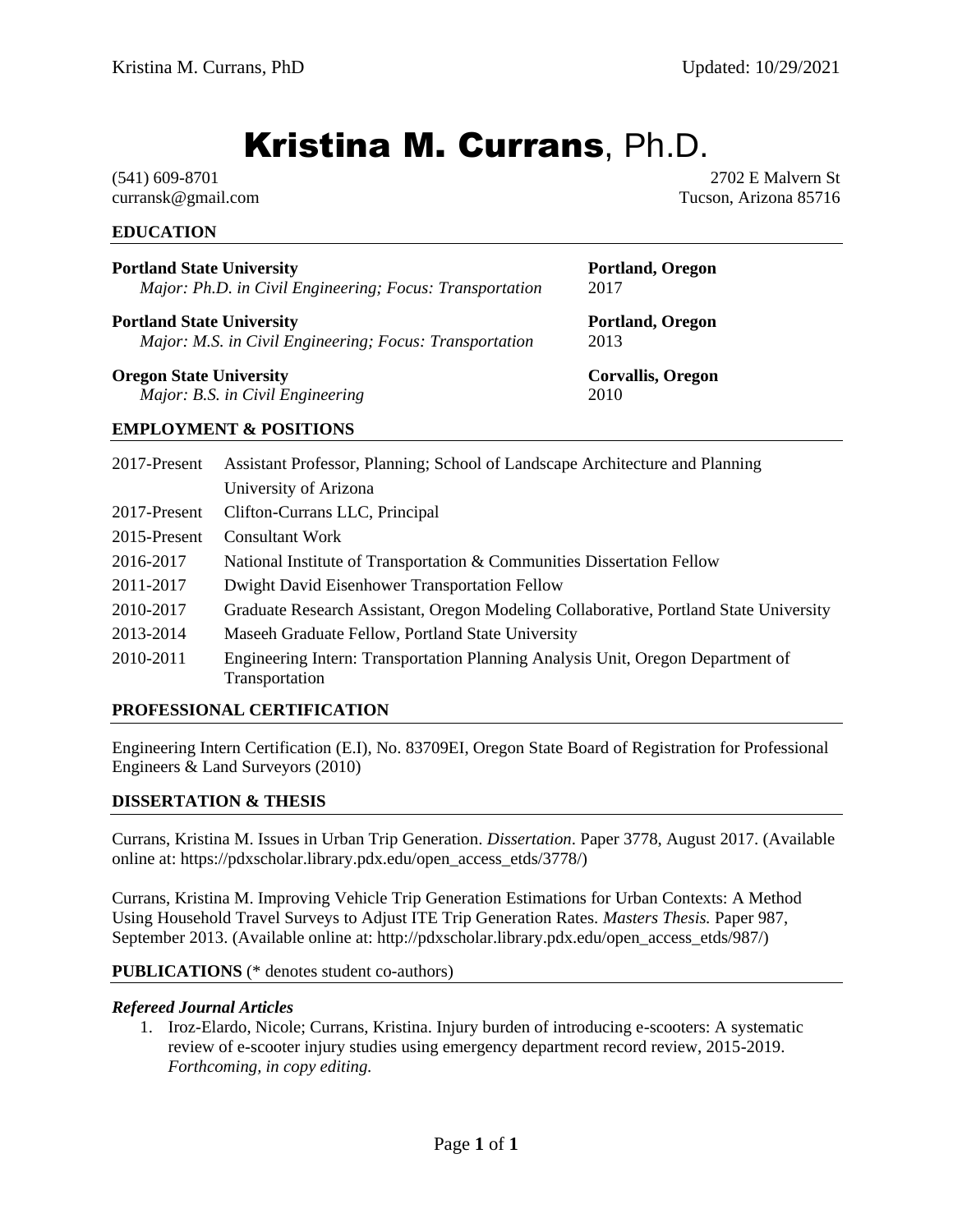# Kristina M. Currans, Ph.D.

(541) 609-8701 curransk@gmail.com

**EDUCATION**

2702 E Malvern St Tucson, Arizona 85716

| <b>Portland State University</b>                         | Portland, Oregon  |
|----------------------------------------------------------|-------------------|
| Major: Ph.D. in Civil Engineering; Focus: Transportation | 2017              |
| <b>Portland State University</b>                         | Portland, Oregon  |
| Major: M.S. in Civil Engineering; Focus: Transportation  | 2013              |
| <b>Oregon State University</b>                           | Corvallis, Oregon |
| Major: B.S. in Civil Engineering                         | 2010              |
| <b>EMPLOYMENT &amp; POSITIONS</b>                        |                   |

## 2017-Present Assistant Professor, Planning; School of Landscape Architecture and Planning University of Arizona 2017-Present Clifton-Currans LLC, Principal 2015-Present Consultant Work 2016-2017 National Institute of Transportation & Communities Dissertation Fellow 2011-2017 Dwight David Eisenhower Transportation Fellow 2010-2017 Graduate Research Assistant, Oregon Modeling Collaborative, Portland State University 2013-2014 Maseeh Graduate Fellow, Portland State University 2010-2011 Engineering Intern: Transportation Planning Analysis Unit, Oregon Department of Transportation

## **PROFESSIONAL CERTIFICATION**

Engineering Intern Certification (E.I), No. 83709EI, Oregon State Board of Registration for Professional Engineers & Land Surveyors (2010)

#### **DISSERTATION & THESIS**

Currans, Kristina M. Issues in Urban Trip Generation. *Dissertation*. Paper 3778, August 2017. (Available online at: https://pdxscholar.library.pdx.edu/open\_access\_etds/3778/)

Currans, Kristina M. Improving Vehicle Trip Generation Estimations for Urban Contexts: A Method Using Household Travel Surveys to Adjust ITE Trip Generation Rates. *Masters Thesis.* Paper 987, September 2013. (Available online at: http://pdxscholar.library.pdx.edu/open\_access\_etds/987/)

#### **PUBLICATIONS** (\* denotes student co-authors)

#### *Refereed Journal Articles*

1. Iroz-Elardo, Nicole; Currans, Kristina. Injury burden of introducing e-scooters: A systematic review of e-scooter injury studies using emergency department record review, 2015-2019. *Forthcoming, in copy editing.*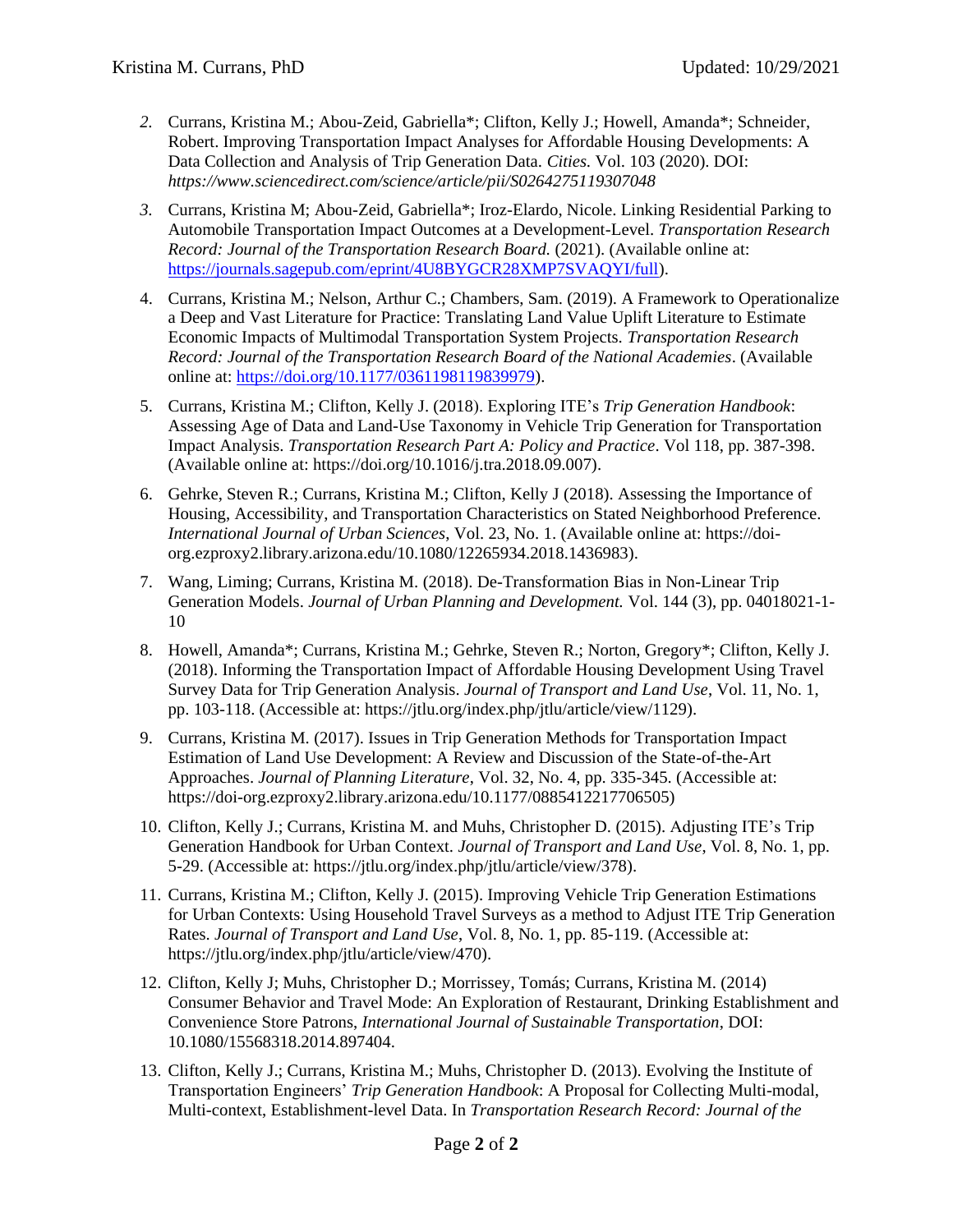- *2.* Currans, Kristina M.; Abou-Zeid, Gabriella\*; Clifton, Kelly J.; Howell, Amanda\*; Schneider, Robert. Improving Transportation Impact Analyses for Affordable Housing Developments: A Data Collection and Analysis of Trip Generation Data. *Cities.* Vol. 103 (2020). DOI: *https://www.sciencedirect.com/science/article/pii/S0264275119307048*
- *3.* Currans, Kristina M; Abou-Zeid, Gabriella\*; Iroz-Elardo, Nicole. Linking Residential Parking to Automobile Transportation Impact Outcomes at a Development-Level. *Transportation Research Record: Journal of the Transportation Research Board.* (2021). (Available online at: [https://journals.sagepub.com/eprint/4U8BYGCR28XMP7SVAQYI/full\)](https://journals.sagepub.com/eprint/4U8BYGCR28XMP7SVAQYI/full).
- 4. Currans, Kristina M.; Nelson, Arthur C.; Chambers, Sam. (2019). A Framework to Operationalize a Deep and Vast Literature for Practice: Translating Land Value Uplift Literature to Estimate Economic Impacts of Multimodal Transportation System Projects. *Transportation Research Record: Journal of the Transportation Research Board of the National Academies*. (Available online at: [https://doi.org/10.1177/0361198119839979\)](https://doi.org/10.1177/0361198119839979).
- 5. Currans, Kristina M.; Clifton, Kelly J. (2018). Exploring ITE's *Trip Generation Handbook*: Assessing Age of Data and Land-Use Taxonomy in Vehicle Trip Generation for Transportation Impact Analysis. *Transportation Research Part A: Policy and Practice*. Vol 118, pp. 387-398. (Available online at: https://doi.org/10.1016/j.tra.2018.09.007).
- 6. Gehrke, Steven R.; Currans, Kristina M.; Clifton, Kelly J (2018). Assessing the Importance of Housing, Accessibility, and Transportation Characteristics on Stated Neighborhood Preference. *International Journal of Urban Sciences*, Vol. 23, No. 1. (Available online at: https://doiorg.ezproxy2.library.arizona.edu/10.1080/12265934.2018.1436983).
- 7. Wang, Liming; Currans, Kristina M. (2018). De-Transformation Bias in Non-Linear Trip Generation Models. *Journal of Urban Planning and Development.* Vol. 144 (3), pp. 04018021-1- 10
- 8. Howell, Amanda\*; Currans, Kristina M.; Gehrke, Steven R.; Norton, Gregory\*; Clifton, Kelly J. (2018). Informing the Transportation Impact of Affordable Housing Development Using Travel Survey Data for Trip Generation Analysis. *Journal of Transport and Land Use*, Vol. 11, No. 1, pp. 103-118. (Accessible at: https://jtlu.org/index.php/jtlu/article/view/1129).
- 9. Currans, Kristina M. (2017). Issues in Trip Generation Methods for Transportation Impact Estimation of Land Use Development: A Review and Discussion of the State-of-the-Art Approaches. *Journal of Planning Literature*, Vol. 32, No. 4, pp. 335-345. (Accessible at: https://doi-org.ezproxy2.library.arizona.edu/10.1177/0885412217706505)
- 10. Clifton, Kelly J.; Currans, Kristina M. and Muhs, Christopher D. (2015). Adjusting ITE's Trip Generation Handbook for Urban Context. *Journal of Transport and Land Use*, Vol. 8, No. 1, pp. 5-29. (Accessible at: https://jtlu.org/index.php/jtlu/article/view/378).
- 11. Currans, Kristina M.; Clifton, Kelly J. (2015). Improving Vehicle Trip Generation Estimations for Urban Contexts: Using Household Travel Surveys as a method to Adjust ITE Trip Generation Rates. *Journal of Transport and Land Use*, Vol. 8, No. 1, pp. 85-119. (Accessible at: https://jtlu.org/index.php/jtlu/article/view/470).
- 12. Clifton, Kelly J; Muhs, Christopher D.; Morrissey, Tomás; Currans, Kristina M. (2014) Consumer Behavior and Travel Mode: An Exploration of Restaurant, Drinking Establishment and Convenience Store Patrons, *International Journal of Sustainable Transportation*, DOI: 10.1080/15568318.2014.897404.
- 13. Clifton, Kelly J.; Currans, Kristina M.; Muhs, Christopher D. (2013). Evolving the Institute of Transportation Engineers' *Trip Generation Handbook*: A Proposal for Collecting Multi-modal, Multi-context, Establishment-level Data. In *Transportation Research Record: Journal of the*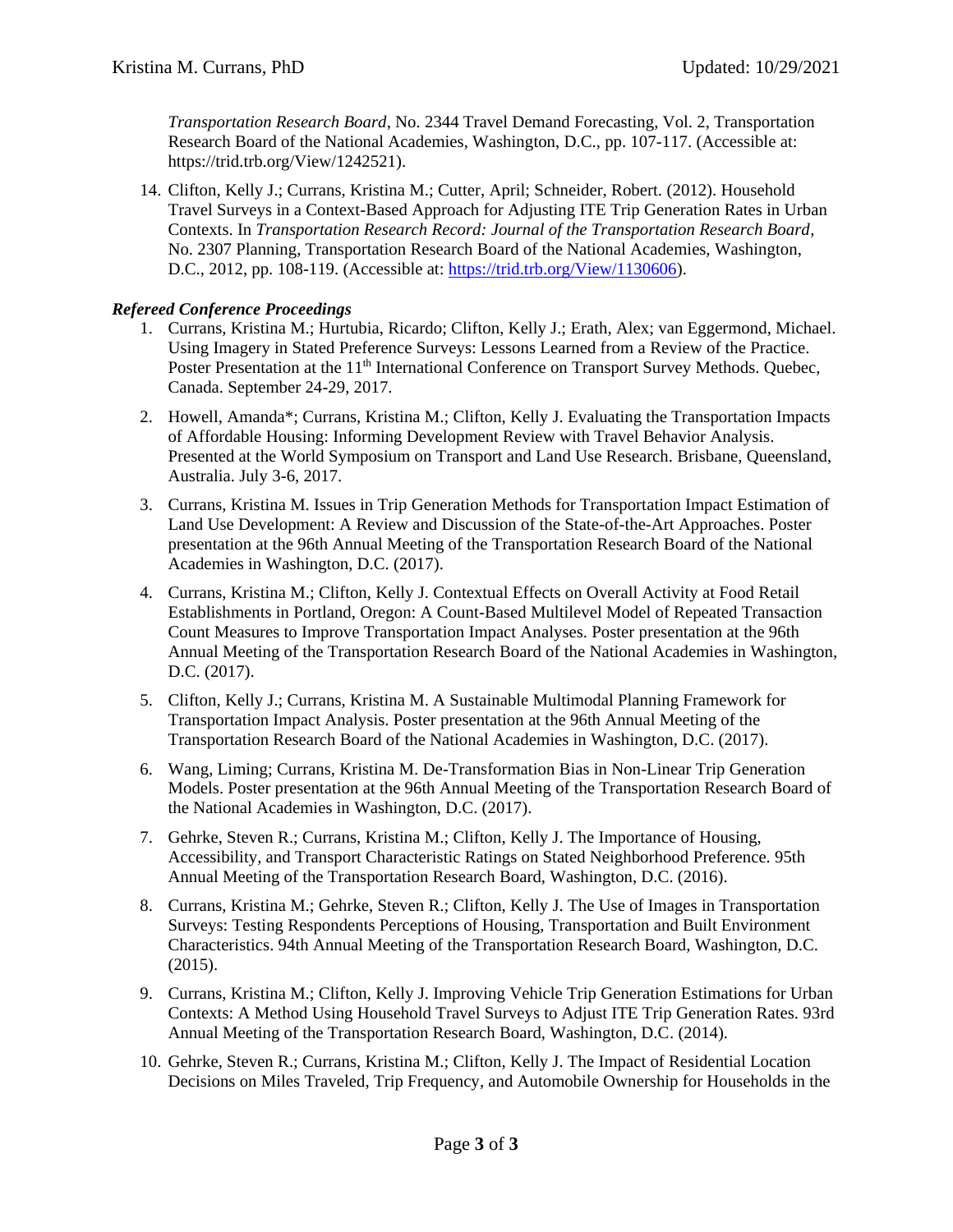*Transportation Research Board*, No. 2344 Travel Demand Forecasting, Vol. 2, Transportation Research Board of the National Academies, Washington, D.C., pp. 107-117. (Accessible at: https://trid.trb.org/View/1242521).

14. Clifton, Kelly J.; Currans, Kristina M.; Cutter, April; Schneider, Robert. (2012). Household Travel Surveys in a Context-Based Approach for Adjusting ITE Trip Generation Rates in Urban Contexts. In *Transportation Research Record: Journal of the Transportation Research Board*, No. 2307 Planning, Transportation Research Board of the National Academies, Washington, D.C., 2012, pp. 108-119. (Accessible at: [https://trid.trb.org/View/1130606\)](https://trid.trb.org/View/1130606).

## *Refereed Conference Proceedings*

- 1. Currans, Kristina M.; Hurtubia, Ricardo; Clifton, Kelly J.; Erath, Alex; van Eggermond, Michael. Using Imagery in Stated Preference Surveys: Lessons Learned from a Review of the Practice. Poster Presentation at the 11<sup>th</sup> International Conference on Transport Survey Methods. Quebec, Canada. September 24-29, 2017.
- 2. Howell, Amanda\*; Currans, Kristina M.; Clifton, Kelly J. Evaluating the Transportation Impacts of Affordable Housing: Informing Development Review with Travel Behavior Analysis. Presented at the World Symposium on Transport and Land Use Research. Brisbane, Queensland, Australia. July 3-6, 2017.
- 3. Currans, Kristina M. Issues in Trip Generation Methods for Transportation Impact Estimation of Land Use Development: A Review and Discussion of the State-of-the-Art Approaches. Poster presentation at the 96th Annual Meeting of the Transportation Research Board of the National Academies in Washington, D.C. (2017).
- 4. Currans, Kristina M.; Clifton, Kelly J. Contextual Effects on Overall Activity at Food Retail Establishments in Portland, Oregon: A Count-Based Multilevel Model of Repeated Transaction Count Measures to Improve Transportation Impact Analyses. Poster presentation at the 96th Annual Meeting of the Transportation Research Board of the National Academies in Washington, D.C. (2017).
- 5. Clifton, Kelly J.; Currans, Kristina M. A Sustainable Multimodal Planning Framework for Transportation Impact Analysis. Poster presentation at the 96th Annual Meeting of the Transportation Research Board of the National Academies in Washington, D.C. (2017).
- 6. Wang, Liming; Currans, Kristina M. De-Transformation Bias in Non-Linear Trip Generation Models. Poster presentation at the 96th Annual Meeting of the Transportation Research Board of the National Academies in Washington, D.C. (2017).
- 7. Gehrke, Steven R.; Currans, Kristina M.; Clifton, Kelly J. The Importance of Housing, Accessibility, and Transport Characteristic Ratings on Stated Neighborhood Preference. 95th Annual Meeting of the Transportation Research Board, Washington, D.C. (2016).
- 8. Currans, Kristina M.; Gehrke, Steven R.; Clifton, Kelly J. The Use of Images in Transportation Surveys: Testing Respondents Perceptions of Housing, Transportation and Built Environment Characteristics. 94th Annual Meeting of the Transportation Research Board, Washington, D.C. (2015).
- 9. Currans, Kristina M.; Clifton, Kelly J. Improving Vehicle Trip Generation Estimations for Urban Contexts: A Method Using Household Travel Surveys to Adjust ITE Trip Generation Rates. 93rd Annual Meeting of the Transportation Research Board, Washington, D.C. (2014).
- 10. Gehrke, Steven R.; Currans, Kristina M.; Clifton, Kelly J. The Impact of Residential Location Decisions on Miles Traveled, Trip Frequency, and Automobile Ownership for Households in the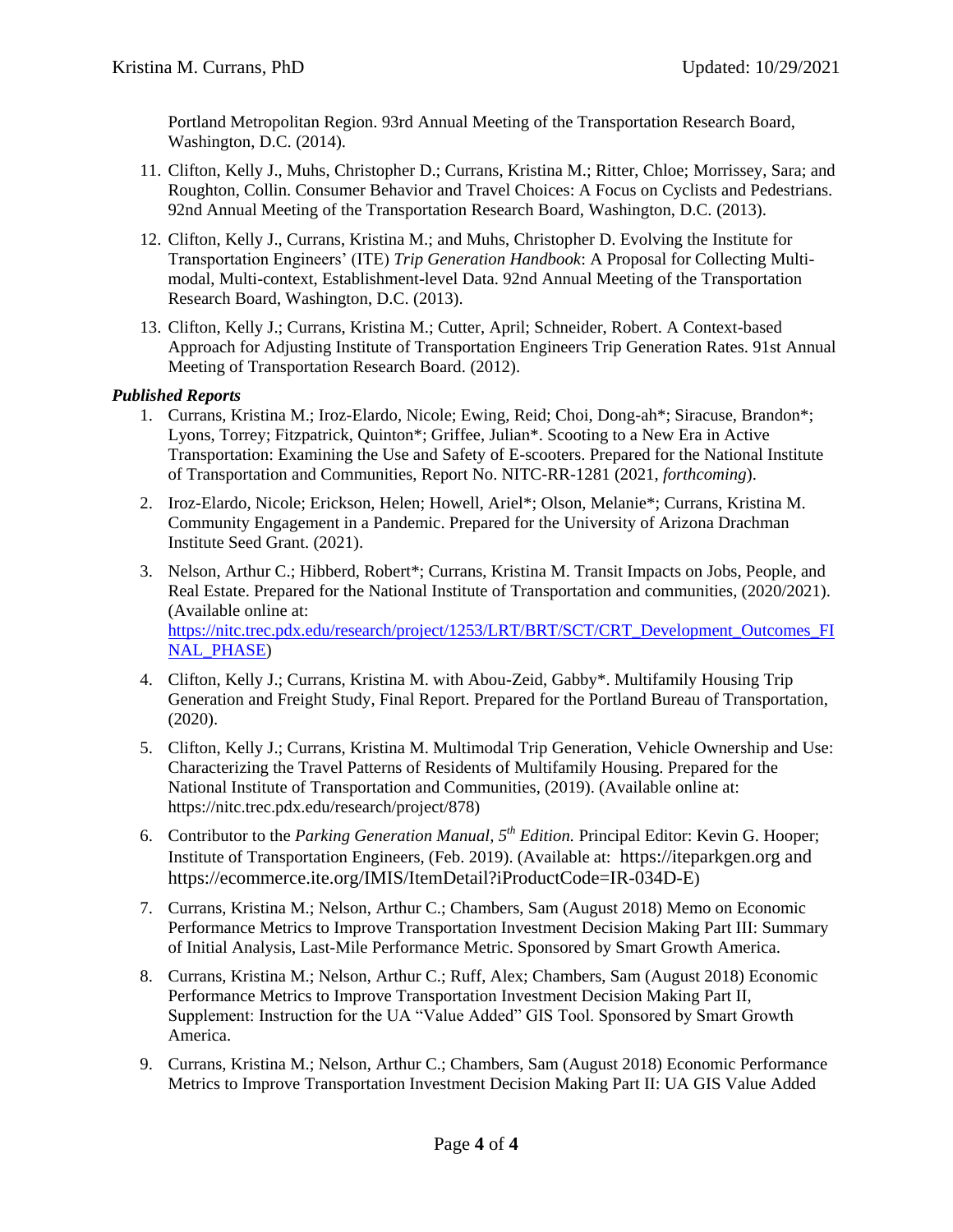Portland Metropolitan Region. 93rd Annual Meeting of the Transportation Research Board, Washington, D.C. (2014).

- 11. Clifton, Kelly J., Muhs, Christopher D.; Currans, Kristina M.; Ritter, Chloe; Morrissey, Sara; and Roughton, Collin. Consumer Behavior and Travel Choices: A Focus on Cyclists and Pedestrians. 92nd Annual Meeting of the Transportation Research Board, Washington, D.C. (2013).
- 12. Clifton, Kelly J., Currans, Kristina M.; and Muhs, Christopher D. Evolving the Institute for Transportation Engineers' (ITE) *Trip Generation Handbook*: A Proposal for Collecting Multimodal, Multi-context, Establishment-level Data. 92nd Annual Meeting of the Transportation Research Board, Washington, D.C. (2013).
- 13. Clifton, Kelly J.; Currans, Kristina M.; Cutter, April; Schneider, Robert. A Context-based Approach for Adjusting Institute of Transportation Engineers Trip Generation Rates. 91st Annual Meeting of Transportation Research Board. (2012).

## *Published Reports*

- 1. Currans, Kristina M.; Iroz-Elardo, Nicole; Ewing, Reid; Choi, Dong-ah\*; Siracuse, Brandon\*; Lyons, Torrey; Fitzpatrick, Quinton\*; Griffee, Julian\*. Scooting to a New Era in Active Transportation: Examining the Use and Safety of E-scooters. Prepared for the National Institute of Transportation and Communities, Report No. NITC-RR-1281 (2021, *forthcoming*).
- 2. Iroz-Elardo, Nicole; Erickson, Helen; Howell, Ariel\*; Olson, Melanie\*; Currans, Kristina M. Community Engagement in a Pandemic. Prepared for the University of Arizona Drachman Institute Seed Grant. (2021).
- 3. Nelson, Arthur C.; Hibberd, Robert\*; Currans, Kristina M. Transit Impacts on Jobs, People, and Real Estate. Prepared for the National Institute of Transportation and communities, (2020/2021). (Available online at: [https://nitc.trec.pdx.edu/research/project/1253/LRT/BRT/SCT/CRT\\_Development\\_Outcomes\\_FI](https://nitc.trec.pdx.edu/research/project/1253/LRT/BRT/SCT/CRT_Development_Outcomes_FINAL_PHASE) [NAL\\_PHASE\)](https://nitc.trec.pdx.edu/research/project/1253/LRT/BRT/SCT/CRT_Development_Outcomes_FINAL_PHASE)
- 4. Clifton, Kelly J.; Currans, Kristina M. with Abou-Zeid, Gabby\*. Multifamily Housing Trip Generation and Freight Study, Final Report. Prepared for the Portland Bureau of Transportation, (2020).
- 5. Clifton, Kelly J.; Currans, Kristina M. Multimodal Trip Generation, Vehicle Ownership and Use: Characterizing the Travel Patterns of Residents of Multifamily Housing. Prepared for the National Institute of Transportation and Communities, (2019). (Available online at: https://nitc.trec.pdx.edu/research/project/878)
- 6. Contributor to the *Parking Generation Manual, 5th Edition.* Principal Editor: Kevin G. Hooper; Institute of Transportation Engineers, (Feb. 2019). (Available at: https://iteparkgen.org and https://ecommerce.ite.org/IMIS/ItemDetail?iProductCode=IR-034D-E)
- 7. Currans, Kristina M.; Nelson, Arthur C.; Chambers, Sam (August 2018) Memo on Economic Performance Metrics to Improve Transportation Investment Decision Making Part III: Summary of Initial Analysis, Last-Mile Performance Metric. Sponsored by Smart Growth America.
- 8. Currans, Kristina M.; Nelson, Arthur C.; Ruff, Alex; Chambers, Sam (August 2018) Economic Performance Metrics to Improve Transportation Investment Decision Making Part II, Supplement: Instruction for the UA "Value Added" GIS Tool. Sponsored by Smart Growth America.
- 9. Currans, Kristina M.; Nelson, Arthur C.; Chambers, Sam (August 2018) Economic Performance Metrics to Improve Transportation Investment Decision Making Part II: UA GIS Value Added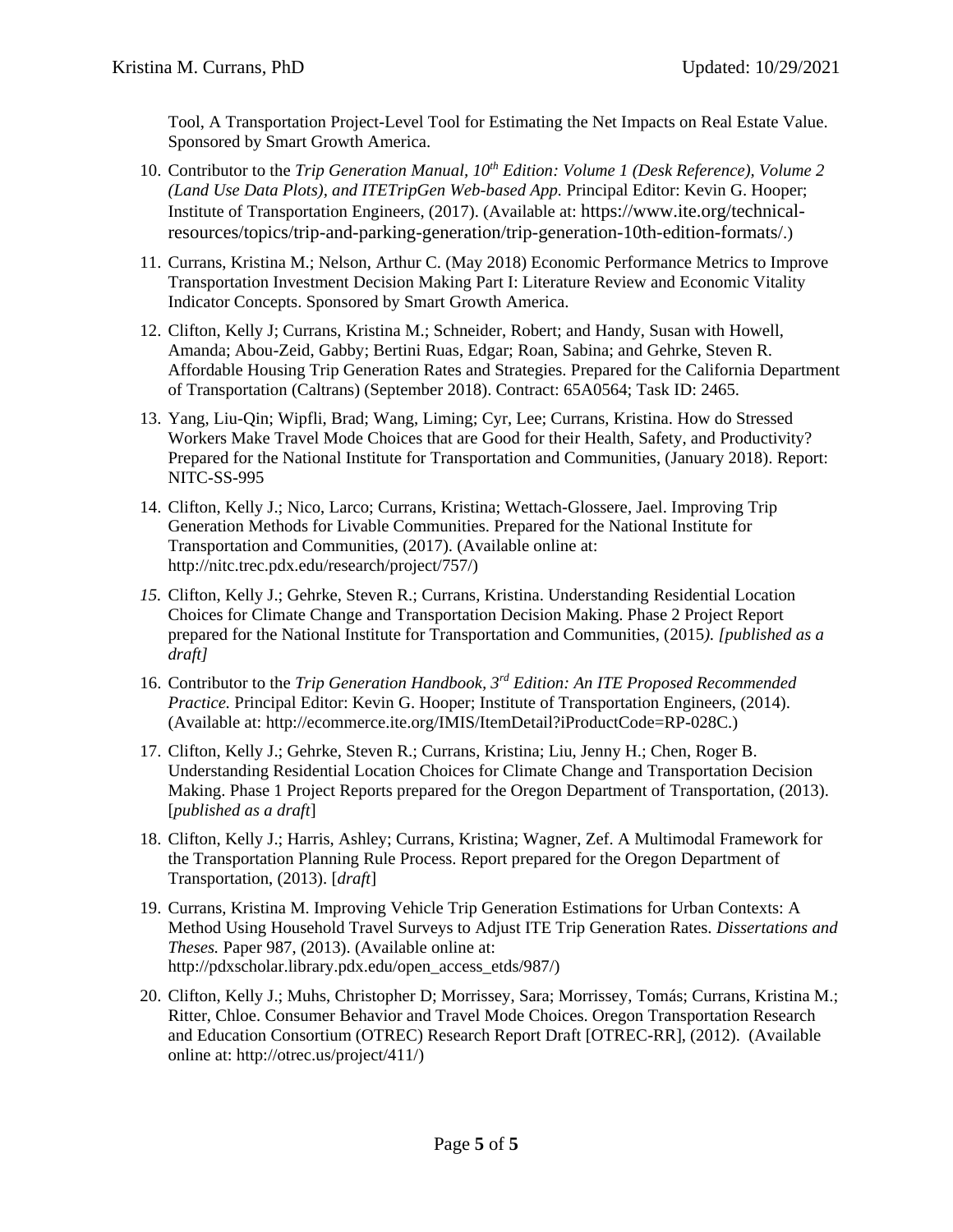Tool, A Transportation Project-Level Tool for Estimating the Net Impacts on Real Estate Value. Sponsored by Smart Growth America.

- 10. Contributor to the *Trip Generation Manual, 10th Edition: Volume 1 (Desk Reference), Volume 2 (Land Use Data Plots), and ITETripGen Web-based App.* Principal Editor: Kevin G. Hooper; Institute of Transportation Engineers, (2017). (Available at: https://www.ite.org/technicalresources/topics/trip-and-parking-generation/trip-generation-10th-edition-formats/.)
- 11. Currans, Kristina M.; Nelson, Arthur C. (May 2018) Economic Performance Metrics to Improve Transportation Investment Decision Making Part I: Literature Review and Economic Vitality Indicator Concepts. Sponsored by Smart Growth America.
- 12. Clifton, Kelly J; Currans, Kristina M.; Schneider, Robert; and Handy, Susan with Howell, Amanda; Abou-Zeid, Gabby; Bertini Ruas, Edgar; Roan, Sabina; and Gehrke, Steven R. Affordable Housing Trip Generation Rates and Strategies. Prepared for the California Department of Transportation (Caltrans) (September 2018). Contract: 65A0564; Task ID: 2465.
- 13. Yang, Liu-Qin; Wipfli, Brad; Wang, Liming; Cyr, Lee; Currans, Kristina. How do Stressed Workers Make Travel Mode Choices that are Good for their Health, Safety, and Productivity? Prepared for the National Institute for Transportation and Communities, (January 2018). Report: NITC-SS-995
- 14. Clifton, Kelly J.; Nico, Larco; Currans, Kristina; Wettach-Glossere, Jael. Improving Trip Generation Methods for Livable Communities. Prepared for the National Institute for Transportation and Communities, (2017). (Available online at: http://nitc.trec.pdx.edu/research/project/757/)
- *15.* Clifton, Kelly J.; Gehrke, Steven R.; Currans, Kristina. Understanding Residential Location Choices for Climate Change and Transportation Decision Making. Phase 2 Project Report prepared for the National Institute for Transportation and Communities, (2015*). [published as a draft]*
- 16. Contributor to the *Trip Generation Handbook, 3rd Edition: An ITE Proposed Recommended Practice.* Principal Editor: Kevin G. Hooper; Institute of Transportation Engineers, (2014). (Available at: [http://ecommerce.ite.org/IMIS/ItemDetail?iProductCode=RP-028C.](http://ecommerce.ite.org/IMIS/ItemDetail?iProductCode=RP-028C))
- 17. Clifton, Kelly J.; Gehrke, Steven R.; Currans, Kristina; Liu, Jenny H.; Chen, Roger B. Understanding Residential Location Choices for Climate Change and Transportation Decision Making. Phase 1 Project Reports prepared for the Oregon Department of Transportation, (2013). [*published as a draft*]
- 18. Clifton, Kelly J.; Harris, Ashley; Currans, Kristina; Wagner, Zef. A Multimodal Framework for the Transportation Planning Rule Process. Report prepared for the Oregon Department of Transportation, (2013). [*draft*]
- 19. Currans, Kristina M. Improving Vehicle Trip Generation Estimations for Urban Contexts: A Method Using Household Travel Surveys to Adjust ITE Trip Generation Rates. *Dissertations and Theses.* Paper 987, (2013). (Available online at: http://pdxscholar.library.pdx.edu/open\_access\_etds/987/)
- 20. Clifton, Kelly J.; Muhs, Christopher D; Morrissey, Sara; Morrissey, Tomás; Currans, Kristina M.; Ritter, Chloe. Consumer Behavior and Travel Mode Choices. Oregon Transportation Research and Education Consortium (OTREC) Research Report Draft [OTREC-RR], (2012). (Available online at: http://otrec.us/project/411/)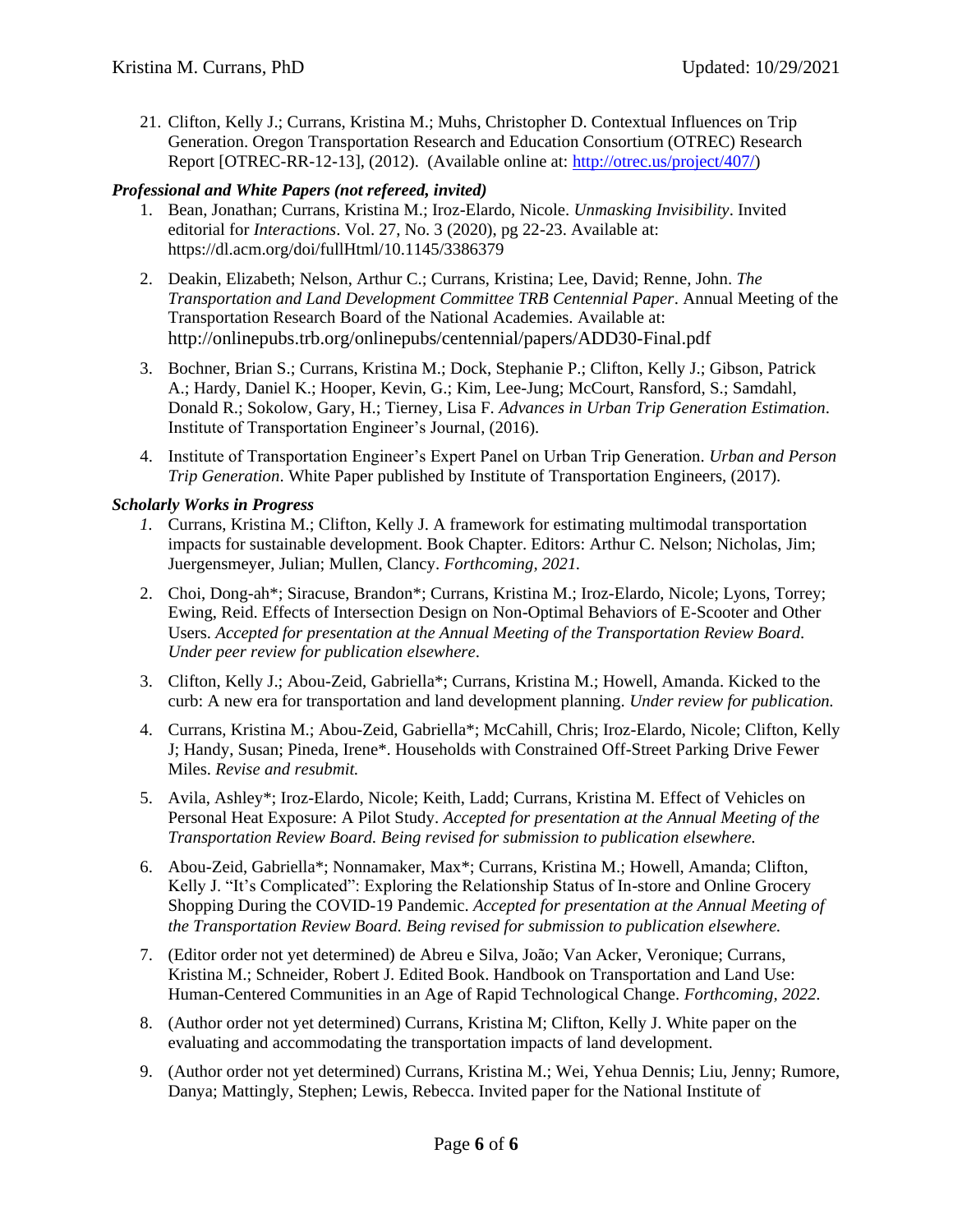21. Clifton, Kelly J.; Currans, Kristina M.; Muhs, Christopher D. Contextual Influences on Trip Generation. Oregon Transportation Research and Education Consortium (OTREC) Research Report [OTREC-RR-12-13], (2012). (Available online at: [http://otrec.us/project/407/\)](http://otrec.us/project/407/)

#### *Professional and White Papers (not refereed, invited)*

- 1. Bean, Jonathan; Currans, Kristina M.; Iroz-Elardo, Nicole. *Unmasking Invisibility*. Invited editorial for *Interactions*. Vol. 27, No. 3 (2020), pg 22-23. Available at: https://dl.acm.org/doi/fullHtml/10.1145/3386379
- 2. Deakin, Elizabeth; Nelson, Arthur C.; Currans, Kristina; Lee, David; Renne, John. *The Transportation and Land Development Committee TRB Centennial Paper*. Annual Meeting of the Transportation Research Board of the National Academies. Available at: http://onlinepubs.trb.org/onlinepubs/centennial/papers/ADD30-Final.pdf
- 3. Bochner, Brian S.; Currans, Kristina M.; Dock, Stephanie P.; Clifton, Kelly J.; Gibson, Patrick A.; Hardy, Daniel K.; Hooper, Kevin, G.; Kim, Lee-Jung; McCourt, Ransford, S.; Samdahl, Donald R.; Sokolow, Gary, H.; Tierney, Lisa F. *Advances in Urban Trip Generation Estimation*. Institute of Transportation Engineer's Journal, (2016).
- 4. Institute of Transportation Engineer's Expert Panel on Urban Trip Generation*. Urban and Person Trip Generation*. White Paper published by Institute of Transportation Engineers, (2017).

#### *Scholarly Works in Progress*

- *1.* Currans, Kristina M.; Clifton, Kelly J. A framework for estimating multimodal transportation impacts for sustainable development. Book Chapter. Editors: Arthur C. Nelson; Nicholas, Jim; Juergensmeyer, Julian; Mullen, Clancy. *Forthcoming, 2021.*
- 2. Choi, Dong-ah\*; Siracuse, Brandon\*; Currans, Kristina M.; Iroz-Elardo, Nicole; Lyons, Torrey; Ewing, Reid. Effects of Intersection Design on Non-Optimal Behaviors of E-Scooter and Other Users. *Accepted for presentation at the Annual Meeting of the Transportation Review Board. Under peer review for publication elsewhere*.
- 3. Clifton, Kelly J.; Abou-Zeid, Gabriella\*; Currans, Kristina M.; Howell, Amanda. Kicked to the curb: A new era for transportation and land development planning. *Under review for publication.*
- 4. Currans, Kristina M.; Abou-Zeid, Gabriella\*; McCahill, Chris; Iroz-Elardo, Nicole; Clifton, Kelly J; Handy, Susan; Pineda, Irene\*. Households with Constrained Off-Street Parking Drive Fewer Miles. *Revise and resubmit.*
- 5. Avila, Ashley\*; Iroz-Elardo, Nicole; Keith, Ladd; Currans, Kristina M. Effect of Vehicles on Personal Heat Exposure: A Pilot Study. *Accepted for presentation at the Annual Meeting of the Transportation Review Board. Being revised for submission to publication elsewhere.*
- 6. Abou-Zeid, Gabriella\*; Nonnamaker, Max\*; Currans, Kristina M.; Howell, Amanda; Clifton, Kelly J. "It's Complicated": Exploring the Relationship Status of In-store and Online Grocery Shopping During the COVID-19 Pandemic. *Accepted for presentation at the Annual Meeting of the Transportation Review Board. Being revised for submission to publication elsewhere.*
- 7. (Editor order not yet determined) de Abreu e Silva, João; Van Acker, Veronique; Currans, Kristina M.; Schneider, Robert J. Edited Book. Handbook on Transportation and Land Use: Human-Centered Communities in an Age of Rapid Technological Change. *Forthcoming, 2022.*
- 8. (Author order not yet determined) Currans, Kristina M; Clifton, Kelly J. White paper on the evaluating and accommodating the transportation impacts of land development.
- 9. (Author order not yet determined) Currans, Kristina M.; Wei, Yehua Dennis; Liu, Jenny; Rumore, Danya; Mattingly, Stephen; Lewis, Rebecca. Invited paper for the National Institute of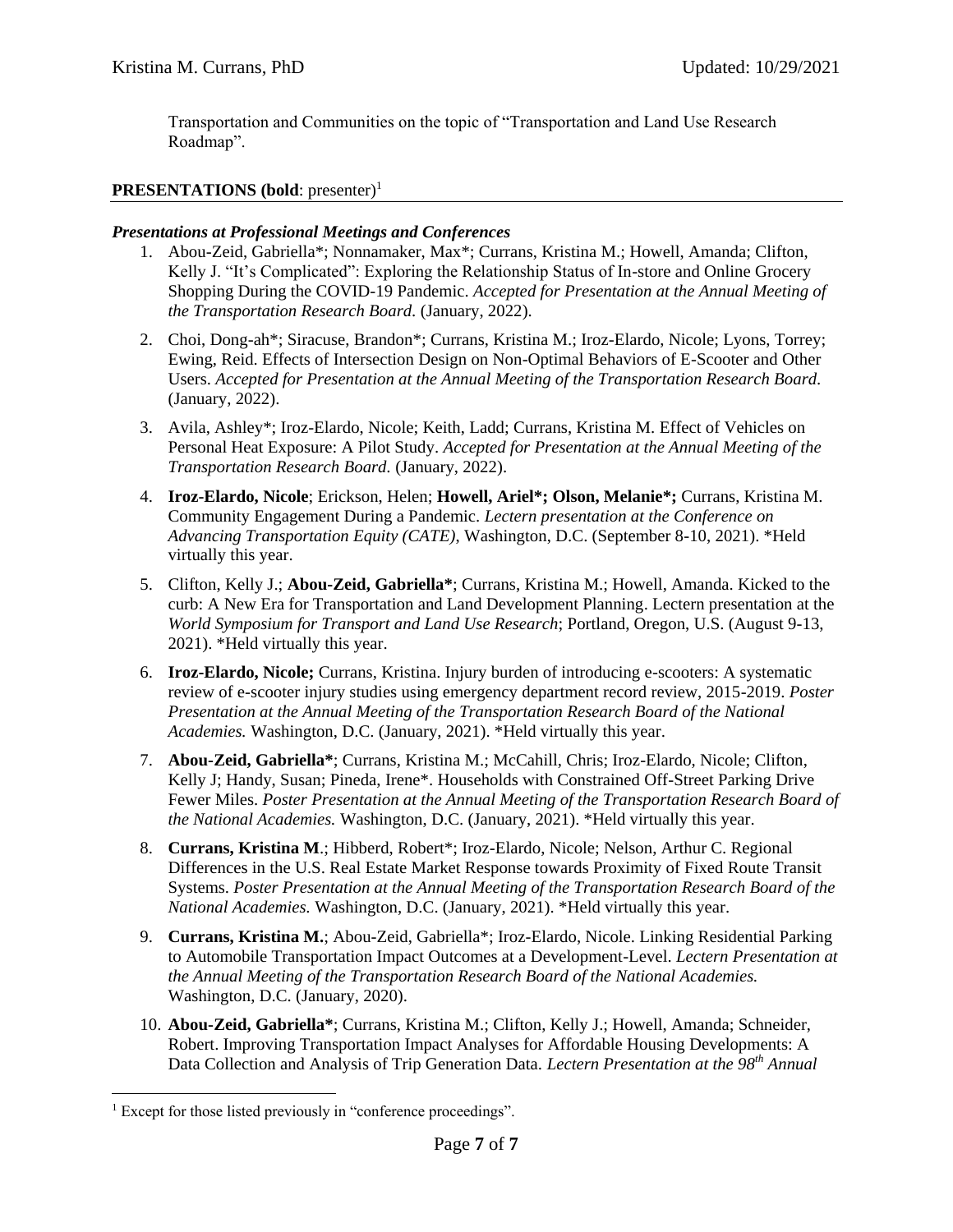Transportation and Communities on the topic of "Transportation and Land Use Research Roadmap".

## **PRESENTATIONS** (bold: presenter)<sup>1</sup>

#### *Presentations at Professional Meetings and Conferences*

- 1. Abou-Zeid, Gabriella\*; Nonnamaker, Max\*; Currans, Kristina M.; Howell, Amanda; Clifton, Kelly J. "It's Complicated": Exploring the Relationship Status of In-store and Online Grocery Shopping During the COVID-19 Pandemic. *Accepted for Presentation at the Annual Meeting of the Transportation Research Board.* (January, 2022).
- 2. Choi, Dong-ah\*; Siracuse, Brandon\*; Currans, Kristina M.; Iroz-Elardo, Nicole; Lyons, Torrey; Ewing, Reid. Effects of Intersection Design on Non-Optimal Behaviors of E-Scooter and Other Users. *Accepted for Presentation at the Annual Meeting of the Transportation Research Board.* (January, 2022).
- 3. Avila, Ashley\*; Iroz-Elardo, Nicole; Keith, Ladd; Currans, Kristina M. Effect of Vehicles on Personal Heat Exposure: A Pilot Study. *Accepted for Presentation at the Annual Meeting of the Transportation Research Board.* (January, 2022).
- 4. **Iroz-Elardo, Nicole**; Erickson, Helen; **Howell, Ariel\*; Olson, Melanie\*;** Currans, Kristina M. Community Engagement During a Pandemic. *Lectern presentation at the Conference on Advancing Transportation Equity (CATE)*, Washington, D.C. (September 8-10, 2021). \*Held virtually this year.
- 5. Clifton, Kelly J.; **Abou-Zeid, Gabriella\***; Currans, Kristina M.; Howell, Amanda. Kicked to the curb: A New Era for Transportation and Land Development Planning. Lectern presentation at the *World Symposium for Transport and Land Use Research*; Portland, Oregon, U.S. (August 9-13, 2021). \*Held virtually this year.
- 6. **Iroz-Elardo, Nicole;** Currans, Kristina. Injury burden of introducing e-scooters: A systematic review of e-scooter injury studies using emergency department record review, 2015-2019. *Poster Presentation at the Annual Meeting of the Transportation Research Board of the National Academies.* Washington, D.C. (January, 2021). \*Held virtually this year.
- 7. **Abou-Zeid, Gabriella\***; Currans, Kristina M.; McCahill, Chris; Iroz-Elardo, Nicole; Clifton, Kelly J; Handy, Susan; Pineda, Irene\*. Households with Constrained Off-Street Parking Drive Fewer Miles. *Poster Presentation at the Annual Meeting of the Transportation Research Board of the National Academies.* Washington, D.C. (January, 2021). \*Held virtually this year.
- 8. **Currans, Kristina M**.; Hibberd, Robert\*; Iroz-Elardo, Nicole; Nelson, Arthur C. Regional Differences in the U.S. Real Estate Market Response towards Proximity of Fixed Route Transit Systems. *Poster Presentation at the Annual Meeting of the Transportation Research Board of the National Academies.* Washington, D.C. (January, 2021). \*Held virtually this year.
- 9. **Currans, Kristina M.**; Abou-Zeid, Gabriella\*; Iroz-Elardo, Nicole. Linking Residential Parking to Automobile Transportation Impact Outcomes at a Development-Level. *Lectern Presentation at the Annual Meeting of the Transportation Research Board of the National Academies.* Washington, D.C. (January, 2020).
- 10. **Abou-Zeid, Gabriella\***; Currans, Kristina M.; Clifton, Kelly J.; Howell, Amanda; Schneider, Robert. Improving Transportation Impact Analyses for Affordable Housing Developments: A Data Collection and Analysis of Trip Generation Data. *Lectern Presentation at the 98th Annual*

 $\overline{a}$ <sup>1</sup> Except for those listed previously in "conference proceedings".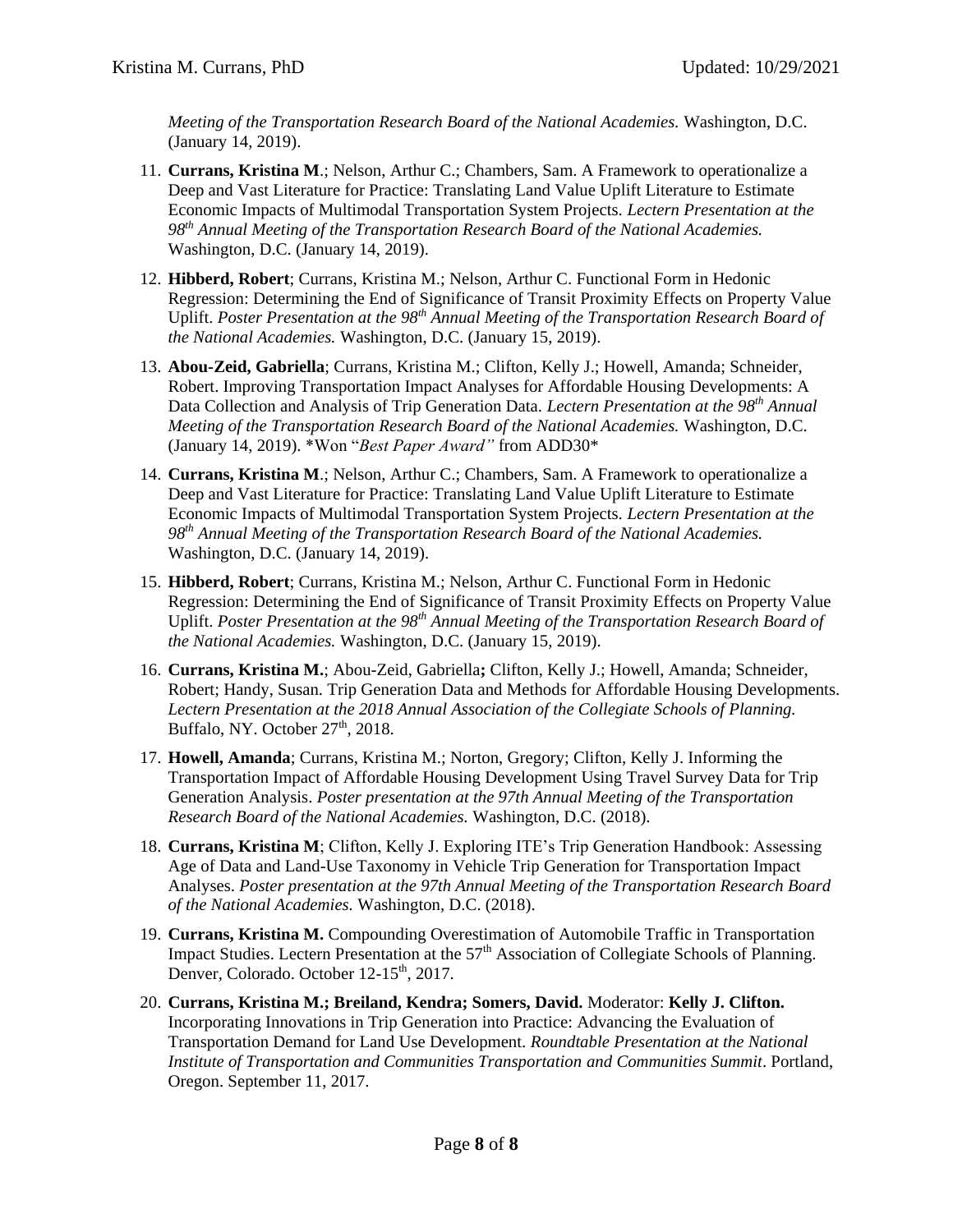*Meeting of the Transportation Research Board of the National Academies.* Washington, D.C. (January 14, 2019).

- 11. **Currans, Kristina M**.; Nelson, Arthur C.; Chambers, Sam. A Framework to operationalize a Deep and Vast Literature for Practice: Translating Land Value Uplift Literature to Estimate Economic Impacts of Multimodal Transportation System Projects. *Lectern Presentation at the 98th Annual Meeting of the Transportation Research Board of the National Academies.* Washington, D.C. (January 14, 2019).
- 12. **Hibberd, Robert**; Currans, Kristina M.; Nelson, Arthur C. Functional Form in Hedonic Regression: Determining the End of Significance of Transit Proximity Effects on Property Value Uplift. *Poster Presentation at the 98th Annual Meeting of the Transportation Research Board of the National Academies.* Washington, D.C. (January 15, 2019).
- 13. **Abou-Zeid, Gabriella**; Currans, Kristina M.; Clifton, Kelly J.; Howell, Amanda; Schneider, Robert. Improving Transportation Impact Analyses for Affordable Housing Developments: A Data Collection and Analysis of Trip Generation Data. *Lectern Presentation at the 98th Annual Meeting of the Transportation Research Board of the National Academies.* Washington, D.C. (January 14, 2019). \*Won "*Best Paper Award"* from ADD30\*
- 14. **Currans, Kristina M**.; Nelson, Arthur C.; Chambers, Sam. A Framework to operationalize a Deep and Vast Literature for Practice: Translating Land Value Uplift Literature to Estimate Economic Impacts of Multimodal Transportation System Projects. *Lectern Presentation at the 98th Annual Meeting of the Transportation Research Board of the National Academies.* Washington, D.C. (January 14, 2019).
- 15. **Hibberd, Robert**; Currans, Kristina M.; Nelson, Arthur C. Functional Form in Hedonic Regression: Determining the End of Significance of Transit Proximity Effects on Property Value Uplift. *Poster Presentation at the 98th Annual Meeting of the Transportation Research Board of the National Academies.* Washington, D.C. (January 15, 2019).
- 16. **Currans, Kristina M.**; Abou-Zeid, Gabriella**;** Clifton, Kelly J.; Howell, Amanda; Schneider, Robert; Handy, Susan. Trip Generation Data and Methods for Affordable Housing Developments. *Lectern Presentation at the 2018 Annual Association of the Collegiate Schools of Planning.*  Buffalo, NY. October  $27<sup>th</sup>$ , 2018.
- 17. **Howell, Amanda**; Currans, Kristina M.; Norton, Gregory; Clifton, Kelly J. Informing the Transportation Impact of Affordable Housing Development Using Travel Survey Data for Trip Generation Analysis. *Poster presentation at the 97th Annual Meeting of the Transportation Research Board of the National Academies.* Washington, D.C. (2018).
- 18. **Currans, Kristina M**; Clifton, Kelly J. Exploring ITE's Trip Generation Handbook: Assessing Age of Data and Land-Use Taxonomy in Vehicle Trip Generation for Transportation Impact Analyses. *Poster presentation at the 97th Annual Meeting of the Transportation Research Board of the National Academies.* Washington, D.C. (2018).
- 19. **Currans, Kristina M.** Compounding Overestimation of Automobile Traffic in Transportation Impact Studies. Lectern Presentation at the 57<sup>th</sup> Association of Collegiate Schools of Planning. Denver, Colorado. October 12-15<sup>th</sup>, 2017.
- 20. **Currans, Kristina M.; Breiland, Kendra; Somers, David.** Moderator: **Kelly J. Clifton.**  Incorporating Innovations in Trip Generation into Practice: Advancing the Evaluation of Transportation Demand for Land Use Development. *Roundtable Presentation at the National Institute of Transportation and Communities Transportation and Communities Summit*. Portland, Oregon. September 11, 2017.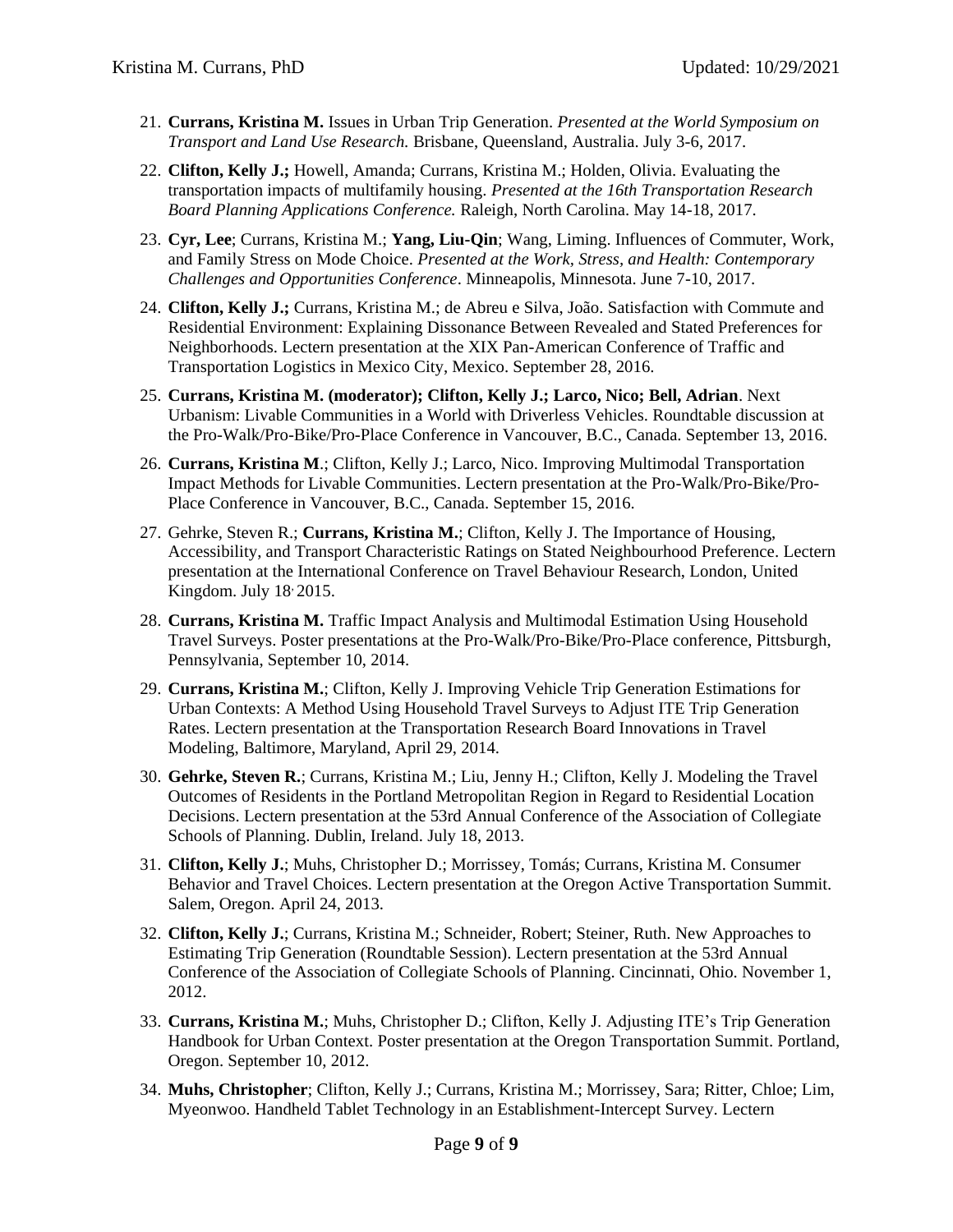- 21. **Currans, Kristina M.** Issues in Urban Trip Generation. *Presented at the World Symposium on Transport and Land Use Research.* Brisbane, Queensland, Australia. July 3-6, 2017.
- 22. **Clifton, Kelly J.;** Howell, Amanda; Currans, Kristina M.; Holden, Olivia. Evaluating the transportation impacts of multifamily housing. *Presented at the 16th Transportation Research Board Planning Applications Conference.* Raleigh, North Carolina. May 14-18, 2017.
- 23. **Cyr, Lee**; Currans, Kristina M.; **Yang, Liu-Qin**; Wang, Liming. Influences of Commuter, Work, and Family Stress on Mode Choice. *Presented at the Work, Stress, and Health: Contemporary Challenges and Opportunities Conference*. Minneapolis, Minnesota. June 7-10, 2017.
- 24. **Clifton, Kelly J.;** Currans, Kristina M.; de Abreu e Silva, João. Satisfaction with Commute and Residential Environment: Explaining Dissonance Between Revealed and Stated Preferences for Neighborhoods. Lectern presentation at the XIX Pan-American Conference of Traffic and Transportation Logistics in Mexico City, Mexico. September 28, 2016.
- 25. **Currans, Kristina M. (moderator); Clifton, Kelly J.; Larco, Nico; Bell, Adrian**. Next Urbanism: Livable Communities in a World with Driverless Vehicles. Roundtable discussion at the Pro-Walk/Pro-Bike/Pro-Place Conference in Vancouver, B.C., Canada. September 13, 2016.
- 26. **Currans, Kristina M**.; Clifton, Kelly J.; Larco, Nico. Improving Multimodal Transportation Impact Methods for Livable Communities. Lectern presentation at the Pro-Walk/Pro-Bike/Pro-Place Conference in Vancouver, B.C., Canada. September 15, 2016.
- 27. Gehrke, Steven R.; **Currans, Kristina M.**; Clifton, Kelly J. The Importance of Housing, Accessibility, and Transport Characteristic Ratings on Stated Neighbourhood Preference. Lectern presentation at the International Conference on Travel Behaviour Research, London, United Kingdom. July  $18$ <sup>2015.</sup>
- 28. **Currans, Kristina M.** Traffic Impact Analysis and Multimodal Estimation Using Household Travel Surveys. Poster presentations at the Pro-Walk/Pro-Bike/Pro-Place conference, Pittsburgh, Pennsylvania, September 10, 2014.
- 29. **Currans, Kristina M.**; Clifton, Kelly J. Improving Vehicle Trip Generation Estimations for Urban Contexts: A Method Using Household Travel Surveys to Adjust ITE Trip Generation Rates. Lectern presentation at the Transportation Research Board Innovations in Travel Modeling, Baltimore, Maryland, April 29, 2014.
- 30. **Gehrke, Steven R.**; Currans, Kristina M.; Liu, Jenny H.; Clifton, Kelly J. Modeling the Travel Outcomes of Residents in the Portland Metropolitan Region in Regard to Residential Location Decisions. Lectern presentation at the 53rd Annual Conference of the Association of Collegiate Schools of Planning. Dublin, Ireland. July 18, 2013.
- 31. **Clifton, Kelly J.**; Muhs, Christopher D.; Morrissey, Tomás; Currans, Kristina M. Consumer Behavior and Travel Choices. Lectern presentation at the Oregon Active Transportation Summit. Salem, Oregon. April 24, 2013.
- 32. **Clifton, Kelly J.**; Currans, Kristina M.; Schneider, Robert; Steiner, Ruth. New Approaches to Estimating Trip Generation (Roundtable Session). Lectern presentation at the 53rd Annual Conference of the Association of Collegiate Schools of Planning. Cincinnati, Ohio. November 1, 2012.
- 33. **Currans, Kristina M.**; Muhs, Christopher D.; Clifton, Kelly J. Adjusting ITE's Trip Generation Handbook for Urban Context. Poster presentation at the Oregon Transportation Summit. Portland, Oregon. September 10, 2012.
- 34. **Muhs, Christopher**; Clifton, Kelly J.; Currans, Kristina M.; Morrissey, Sara; Ritter, Chloe; Lim, Myeonwoo. Handheld Tablet Technology in an Establishment-Intercept Survey. Lectern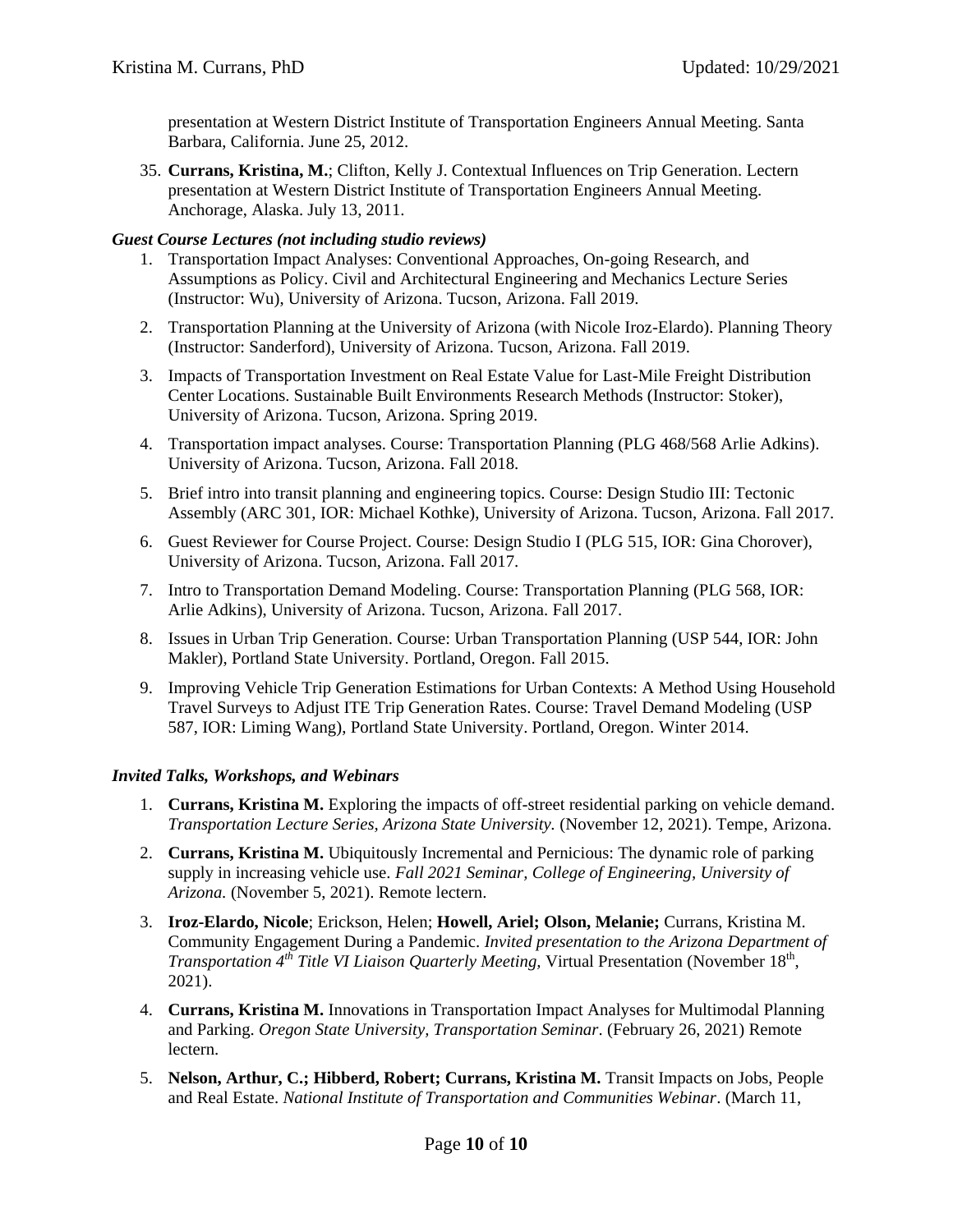presentation at Western District Institute of Transportation Engineers Annual Meeting. Santa Barbara, California. June 25, 2012.

35. **Currans, Kristina, M.**; Clifton, Kelly J. Contextual Influences on Trip Generation. Lectern presentation at Western District Institute of Transportation Engineers Annual Meeting. Anchorage, Alaska. July 13, 2011.

#### *Guest Course Lectures (not including studio reviews)*

- 1. Transportation Impact Analyses: Conventional Approaches, On-going Research, and Assumptions as Policy. Civil and Architectural Engineering and Mechanics Lecture Series (Instructor: Wu), University of Arizona. Tucson, Arizona. Fall 2019.
- 2. Transportation Planning at the University of Arizona (with Nicole Iroz-Elardo). Planning Theory (Instructor: Sanderford), University of Arizona. Tucson, Arizona. Fall 2019.
- 3. Impacts of Transportation Investment on Real Estate Value for Last-Mile Freight Distribution Center Locations. Sustainable Built Environments Research Methods (Instructor: Stoker), University of Arizona. Tucson, Arizona. Spring 2019.
- 4. Transportation impact analyses. Course: Transportation Planning (PLG 468/568 Arlie Adkins). University of Arizona. Tucson, Arizona. Fall 2018.
- 5. Brief intro into transit planning and engineering topics. Course: Design Studio III: Tectonic Assembly (ARC 301, IOR: Michael Kothke), University of Arizona. Tucson, Arizona. Fall 2017.
- 6. Guest Reviewer for Course Project. Course: Design Studio I (PLG 515, IOR: Gina Chorover), University of Arizona. Tucson, Arizona. Fall 2017.
- 7. Intro to Transportation Demand Modeling. Course: Transportation Planning (PLG 568, IOR: Arlie Adkins), University of Arizona. Tucson, Arizona. Fall 2017.
- 8. Issues in Urban Trip Generation. Course: Urban Transportation Planning (USP 544, IOR: John Makler), Portland State University. Portland, Oregon. Fall 2015.
- 9. Improving Vehicle Trip Generation Estimations for Urban Contexts: A Method Using Household Travel Surveys to Adjust ITE Trip Generation Rates. Course: Travel Demand Modeling (USP 587, IOR: Liming Wang), Portland State University. Portland, Oregon. Winter 2014.

#### *Invited Talks, Workshops, and Webinars*

- 1. **Currans, Kristina M.** Exploring the impacts of off-street residential parking on vehicle demand. *Transportation Lecture Series, Arizona State University.* (November 12, 2021). Tempe, Arizona.
- 2. **Currans, Kristina M.** Ubiquitously Incremental and Pernicious: The dynamic role of parking supply in increasing vehicle use. *Fall 2021 Seminar, College of Engineering, University of Arizona.* (November 5, 2021). Remote lectern.
- 3. **Iroz-Elardo, Nicole**; Erickson, Helen; **Howell, Ariel; Olson, Melanie;** Currans, Kristina M. Community Engagement During a Pandemic. *Invited presentation to the Arizona Department of Transportation* 4<sup>th</sup> *Title VI Liaison Quarterly Meeting, Virtual Presentation (November 18<sup>th</sup>,* 2021).
- 4. **Currans, Kristina M.** Innovations in Transportation Impact Analyses for Multimodal Planning and Parking. *Oregon State University, Transportation Seminar*. (February 26, 2021) Remote lectern.
- 5. **Nelson, Arthur, C.; Hibberd, Robert; Currans, Kristina M.** Transit Impacts on Jobs, People and Real Estate. *National Institute of Transportation and Communities Webinar*. (March 11,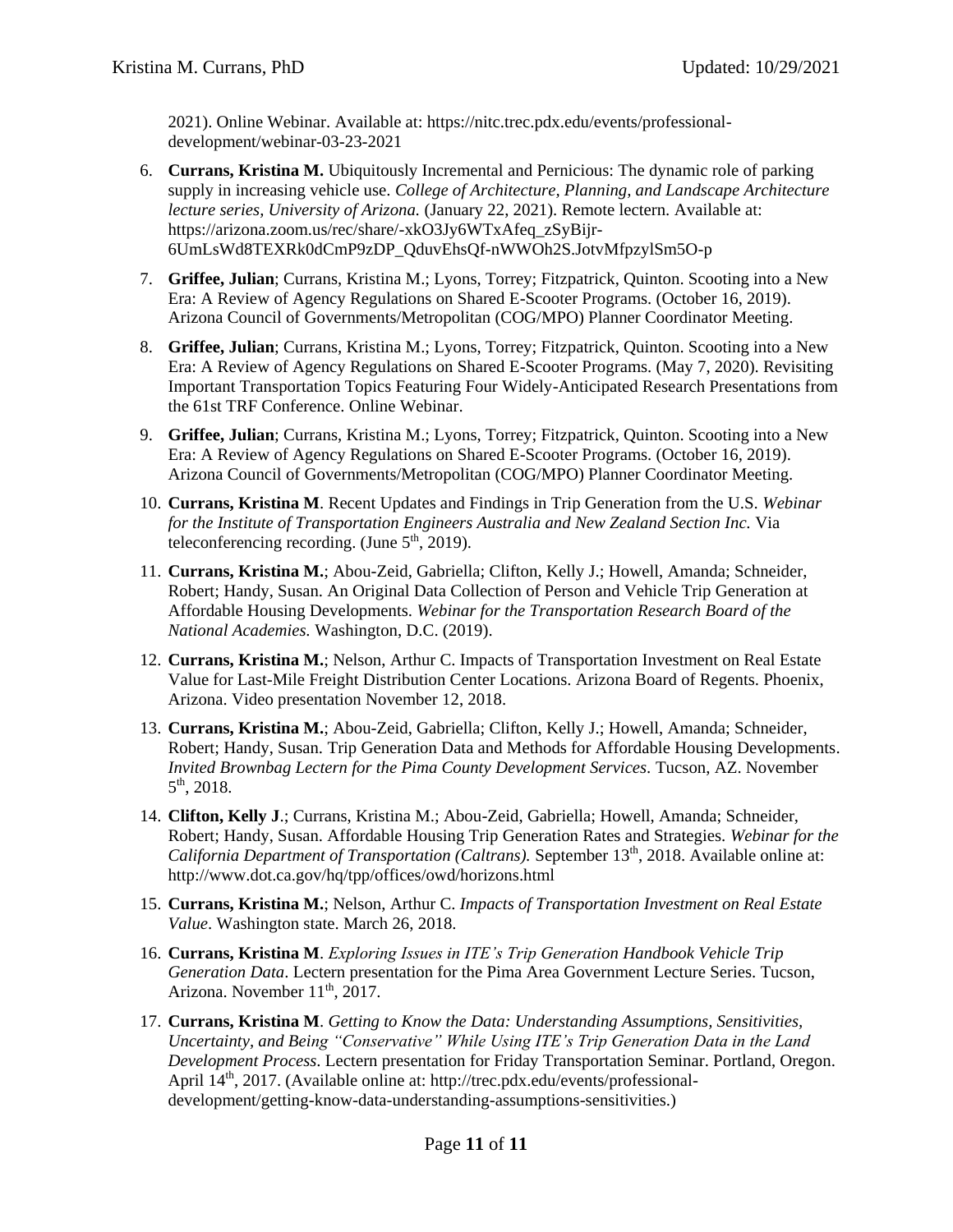2021). Online Webinar. Available at: https://nitc.trec.pdx.edu/events/professionaldevelopment/webinar-03-23-2021

- 6. **Currans, Kristina M.** Ubiquitously Incremental and Pernicious: The dynamic role of parking supply in increasing vehicle use. *College of Architecture, Planning, and Landscape Architecture lecture series, University of Arizona.* (January 22, 2021). Remote lectern. Available at: https://arizona.zoom.us/rec/share/-xkO3Jy6WTxAfeq\_zSyBijr-6UmLsWd8TEXRk0dCmP9zDP\_QduvEhsQf-nWWOh2S.JotvMfpzylSm5O-p
- 7. **Griffee, Julian**; Currans, Kristina M.; Lyons, Torrey; Fitzpatrick, Quinton. Scooting into a New Era: A Review of Agency Regulations on Shared E-Scooter Programs. (October 16, 2019). Arizona Council of Governments/Metropolitan (COG/MPO) Planner Coordinator Meeting.
- 8. **Griffee, Julian**; Currans, Kristina M.; Lyons, Torrey; Fitzpatrick, Quinton. Scooting into a New Era: A Review of Agency Regulations on Shared E-Scooter Programs. (May 7, 2020). Revisiting Important Transportation Topics Featuring Four Widely-Anticipated Research Presentations from the 61st TRF Conference. Online Webinar.
- 9. **Griffee, Julian**; Currans, Kristina M.; Lyons, Torrey; Fitzpatrick, Quinton. Scooting into a New Era: A Review of Agency Regulations on Shared E-Scooter Programs. (October 16, 2019). Arizona Council of Governments/Metropolitan (COG/MPO) Planner Coordinator Meeting.
- 10. **Currans, Kristina M**. Recent Updates and Findings in Trip Generation from the U.S. *Webinar for the Institute of Transportation Engineers Australia and New Zealand Section Inc.* Via teleconferencing recording. (June  $5<sup>th</sup>$ , 2019).
- 11. **Currans, Kristina M.**; Abou-Zeid, Gabriella; Clifton, Kelly J.; Howell, Amanda; Schneider, Robert; Handy, Susan. An Original Data Collection of Person and Vehicle Trip Generation at Affordable Housing Developments. *Webinar for the Transportation Research Board of the National Academies.* Washington, D.C. (2019).
- 12. **Currans, Kristina M.**; Nelson, Arthur C. Impacts of Transportation Investment on Real Estate Value for Last-Mile Freight Distribution Center Locations. Arizona Board of Regents. Phoenix, Arizona. Video presentation November 12, 2018.
- 13. **Currans, Kristina M.**; Abou-Zeid, Gabriella; Clifton, Kelly J.; Howell, Amanda; Schneider, Robert; Handy, Susan. Trip Generation Data and Methods for Affordable Housing Developments. *Invited Brownbag Lectern for the Pima County Development Services.* Tucson, AZ. November  $5^{\text{th}}$ , 2018.
- 14. **Clifton, Kelly J**.; Currans, Kristina M.; Abou-Zeid, Gabriella; Howell, Amanda; Schneider, Robert; Handy, Susan. Affordable Housing Trip Generation Rates and Strategies. *Webinar for the California Department of Transportation (Caltrans).* September 13<sup>th</sup>, 2018. Available online at: http://www.dot.ca.gov/hq/tpp/offices/owd/horizons.html
- 15. **Currans, Kristina M.**; Nelson, Arthur C. *Impacts of Transportation Investment on Real Estate Value*. Washington state. March 26, 2018.
- 16. **Currans, Kristina M**. *Exploring Issues in ITE's Trip Generation Handbook Vehicle Trip Generation Data*. Lectern presentation for the Pima Area Government Lecture Series. Tucson, Arizona. November 11<sup>th</sup>, 2017.
- 17. **Currans, Kristina M**. *Getting to Know the Data: Understanding Assumptions, Sensitivities, Uncertainty, and Being "Conservative" While Using ITE's Trip Generation Data in the Land Development Process*. Lectern presentation for Friday Transportation Seminar. Portland, Oregon. April 14<sup>th</sup>, 2017. (Available online at: http://trec.pdx.edu/events/professionaldevelopment/getting-know-data-understanding-assumptions-sensitivities.)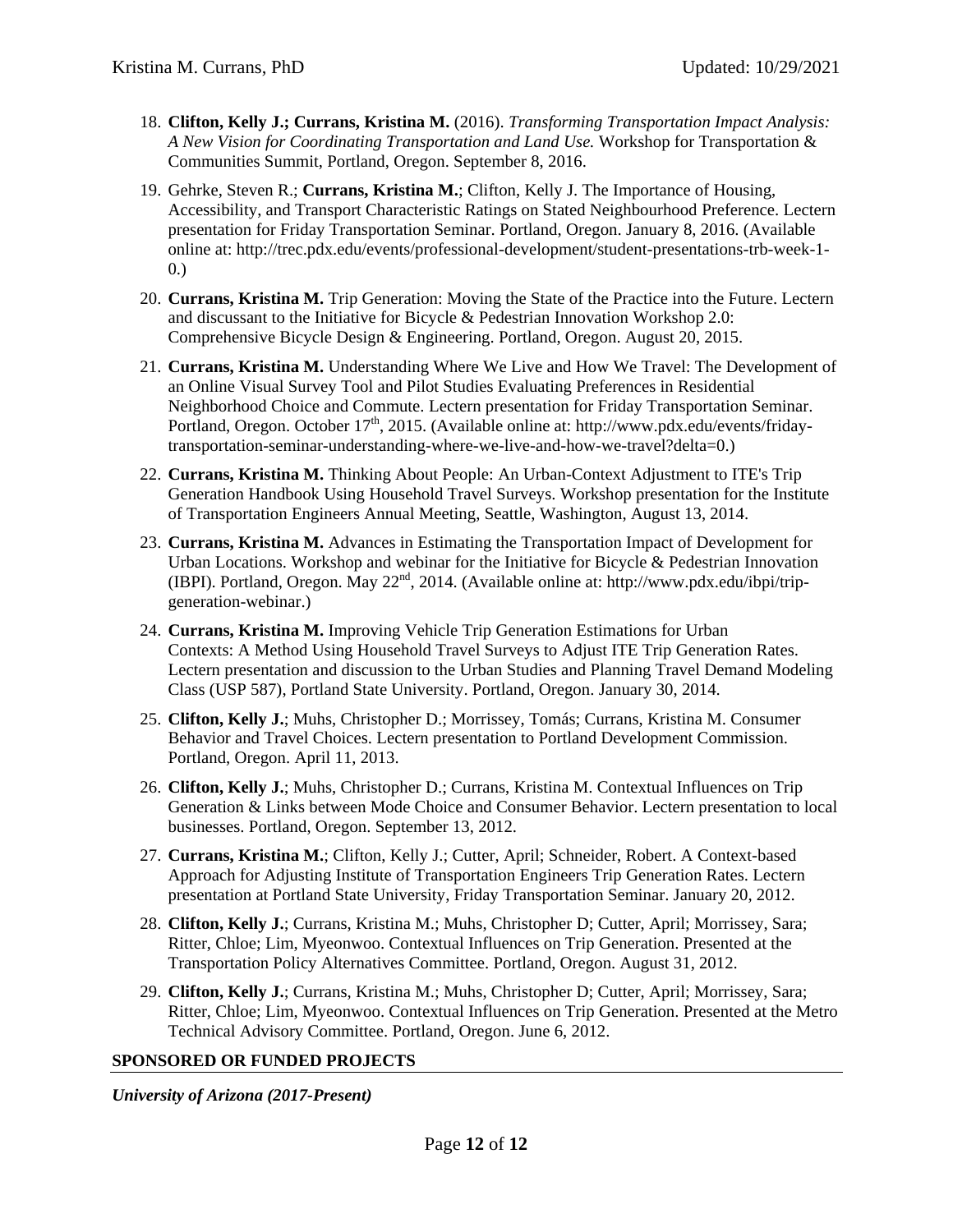- 18. **Clifton, Kelly J.; Currans, Kristina M.** (2016). *Transforming Transportation Impact Analysis: A New Vision for Coordinating Transportation and Land Use.* Workshop for Transportation & Communities Summit, Portland, Oregon. September 8, 2016.
- 19. Gehrke, Steven R.; **Currans, Kristina M.**; Clifton, Kelly J. The Importance of Housing, Accessibility, and Transport Characteristic Ratings on Stated Neighbourhood Preference. Lectern presentation for Friday Transportation Seminar. Portland, Oregon. January 8, 2016. (Available online at: http://trec.pdx.edu/events/professional-development/student-presentations-trb-week-1- 0.)
- 20. **Currans, Kristina M.** Trip Generation: Moving the State of the Practice into the Future. Lectern and discussant to the Initiative for Bicycle & Pedestrian Innovation Workshop 2.0: Comprehensive Bicycle Design & Engineering. Portland, Oregon. August 20, 2015.
- 21. **Currans, Kristina M.** Understanding Where We Live and How We Travel: The Development of an Online Visual Survey Tool and Pilot Studies Evaluating Preferences in Residential Neighborhood Choice and Commute. Lectern presentation for Friday Transportation Seminar. Portland, Oregon. October 17<sup>th</sup>, 2015. (Available online at: [http://www.pdx.edu/events/friday](http://www.pdx.edu/events/friday-transportation-seminar-understanding-where-we-live-and-how-we-travel?delta=0)[transportation-seminar-understanding-where-we-live-and-how-we-travel?delta=0.](http://www.pdx.edu/events/friday-transportation-seminar-understanding-where-we-live-and-how-we-travel?delta=0))
- 22. **Currans, Kristina M.** Thinking About People: An Urban-Context Adjustment to ITE's Trip Generation Handbook Using Household Travel Surveys. Workshop presentation for the Institute of Transportation Engineers Annual Meeting, Seattle, Washington, August 13, 2014.
- 23. **Currans, Kristina M.** Advances in Estimating the Transportation Impact of Development for Urban Locations. Workshop and webinar for the Initiative for Bicycle & Pedestrian Innovation (IBPI). Portland, Oregon. May  $22<sup>nd</sup>$ , 2014. (Available online at: http://www.pdx.edu/ibpi/tripgeneration-webinar.)
- 24. **Currans, Kristina M.** Improving Vehicle Trip Generation Estimations for Urban Contexts: A Method Using Household Travel Surveys to Adjust ITE Trip Generation Rates. Lectern presentation and discussion to the Urban Studies and Planning Travel Demand Modeling Class (USP 587), Portland State University. Portland, Oregon. January 30, 2014.
- 25. **Clifton, Kelly J.**; Muhs, Christopher D.; Morrissey, Tomás; Currans, Kristina M. Consumer Behavior and Travel Choices. Lectern presentation to Portland Development Commission. Portland, Oregon. April 11, 2013.
- 26. **Clifton, Kelly J.**; Muhs, Christopher D.; Currans, Kristina M. Contextual Influences on Trip Generation & Links between Mode Choice and Consumer Behavior. Lectern presentation to local businesses. Portland, Oregon. September 13, 2012.
- 27. **Currans, Kristina M.**; Clifton, Kelly J.; Cutter, April; Schneider, Robert. A Context-based Approach for Adjusting Institute of Transportation Engineers Trip Generation Rates. Lectern presentation at Portland State University, Friday Transportation Seminar. January 20, 2012.
- 28. **Clifton, Kelly J.**; Currans, Kristina M.; Muhs, Christopher D; Cutter, April; Morrissey, Sara; Ritter, Chloe; Lim, Myeonwoo. Contextual Influences on Trip Generation. Presented at the Transportation Policy Alternatives Committee. Portland, Oregon. August 31, 2012.
- 29. **Clifton, Kelly J.**; Currans, Kristina M.; Muhs, Christopher D; Cutter, April; Morrissey, Sara; Ritter, Chloe; Lim, Myeonwoo. Contextual Influences on Trip Generation. Presented at the Metro Technical Advisory Committee. Portland, Oregon. June 6, 2012.

## **SPONSORED OR FUNDED PROJECTS**

*University of Arizona (2017-Present)*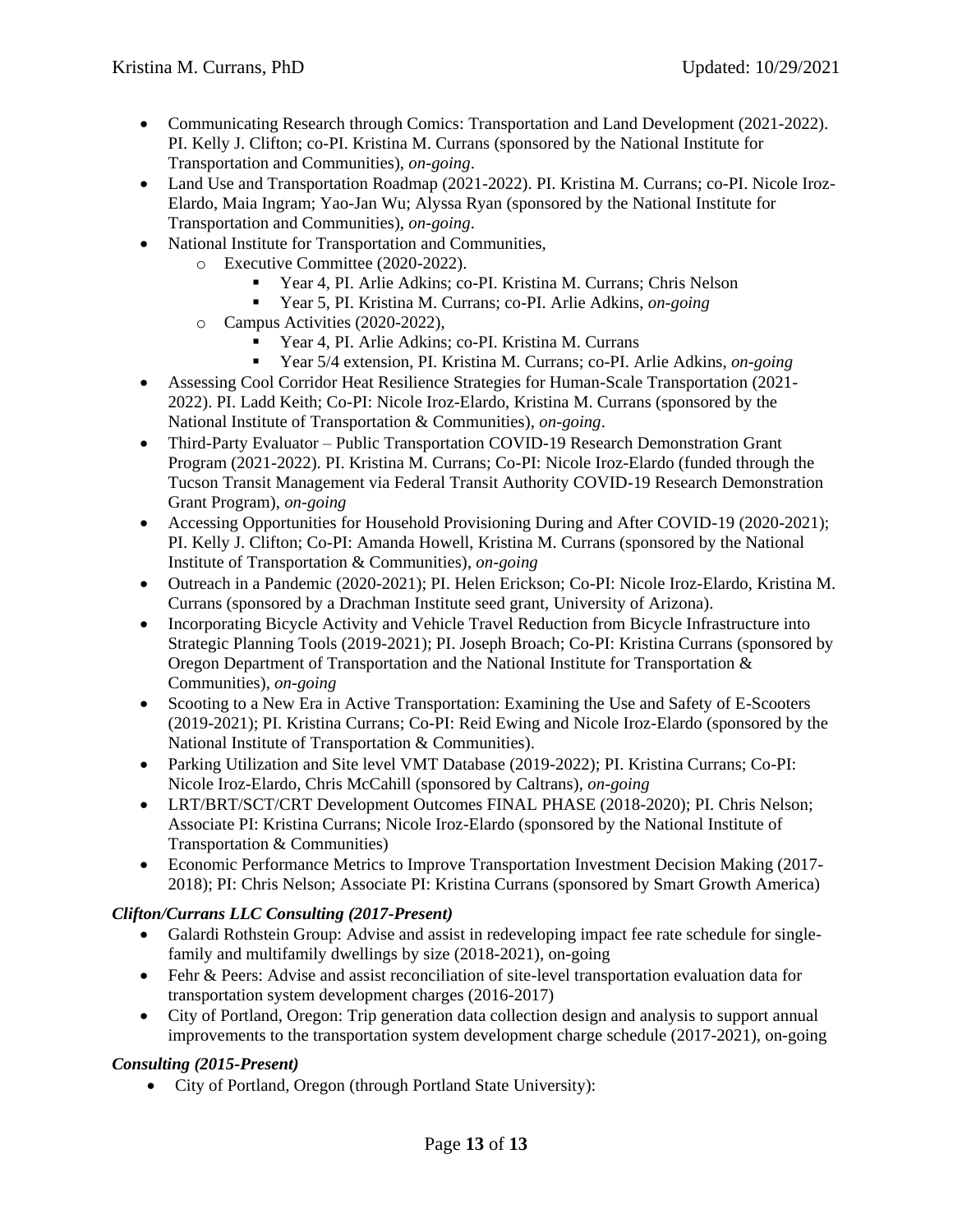- Communicating Research through Comics: Transportation and Land Development (2021-2022). PI. Kelly J. Clifton; co-PI. Kristina M. Currans (sponsored by the National Institute for Transportation and Communities), *on-going*.
- Land Use and Transportation Roadmap (2021-2022). PI. Kristina M. Currans; co-PI. Nicole Iroz-Elardo, Maia Ingram; Yao-Jan Wu; Alyssa Ryan (sponsored by the National Institute for Transportation and Communities), *on-going*.
- National Institute for Transportation and Communities,
	- o Executive Committee (2020-2022).
		- Year 4, PI. Arlie Adkins; co-PI. Kristina M. Currans; Chris Nelson
		- Year 5, PI. Kristina M. Currans; co-PI. Arlie Adkins, *on-going*
	- o Campus Activities (2020-2022),
		- Year 4, PI. Arlie Adkins; co-PI. Kristina M. Currans
		- Year 5/4 extension, PI. Kristina M. Currans; co-PI. Arlie Adkins, *on-going*
- Assessing Cool Corridor Heat Resilience Strategies for Human-Scale Transportation (2021- 2022). PI. Ladd Keith; Co-PI: Nicole Iroz-Elardo, Kristina M. Currans (sponsored by the National Institute of Transportation & Communities), *on-going*.
- Third-Party Evaluator Public Transportation COVID-19 Research Demonstration Grant Program (2021-2022). PI. Kristina M. Currans; Co-PI: Nicole Iroz-Elardo (funded through the Tucson Transit Management via Federal Transit Authority COVID-19 Research Demonstration Grant Program), *on-going*
- Accessing Opportunities for Household Provisioning During and After COVID-19 (2020-2021); PI. Kelly J. Clifton; Co-PI: Amanda Howell, Kristina M. Currans (sponsored by the National Institute of Transportation & Communities), *on-going*
- Outreach in a Pandemic (2020-2021); PI. Helen Erickson; Co-PI: Nicole Iroz-Elardo, Kristina M. Currans (sponsored by a Drachman Institute seed grant, University of Arizona).
- Incorporating Bicycle Activity and Vehicle Travel Reduction from Bicycle Infrastructure into Strategic Planning Tools (2019-2021); PI. Joseph Broach; Co-PI: Kristina Currans (sponsored by Oregon Department of Transportation and the National Institute for Transportation & Communities), *on-going*
- Scooting to a New Era in Active Transportation: Examining the Use and Safety of E-Scooters (2019-2021); PI. Kristina Currans; Co-PI: Reid Ewing and Nicole Iroz-Elardo (sponsored by the National Institute of Transportation & Communities).
- Parking Utilization and Site level VMT Database (2019-2022); PI. Kristina Currans; Co-PI: Nicole Iroz-Elardo, Chris McCahill (sponsored by Caltrans), *on-going*
- LRT/BRT/SCT/CRT Development Outcomes FINAL PHASE (2018-2020); PI. Chris Nelson; Associate PI: Kristina Currans; Nicole Iroz-Elardo (sponsored by the National Institute of Transportation & Communities)
- Economic Performance Metrics to Improve Transportation Investment Decision Making (2017- 2018); PI: Chris Nelson; Associate PI: Kristina Currans (sponsored by Smart Growth America)

## *Clifton/Currans LLC Consulting (2017-Present)*

- Galardi Rothstein Group: Advise and assist in redeveloping impact fee rate schedule for singlefamily and multifamily dwellings by size (2018-2021), on-going
- Fehr & Peers: Advise and assist reconciliation of site-level transportation evaluation data for transportation system development charges (2016-2017)
- City of Portland, Oregon: Trip generation data collection design and analysis to support annual improvements to the transportation system development charge schedule (2017-2021), on-going

## *Consulting (2015-Present)*

• City of Portland, Oregon (through Portland State University):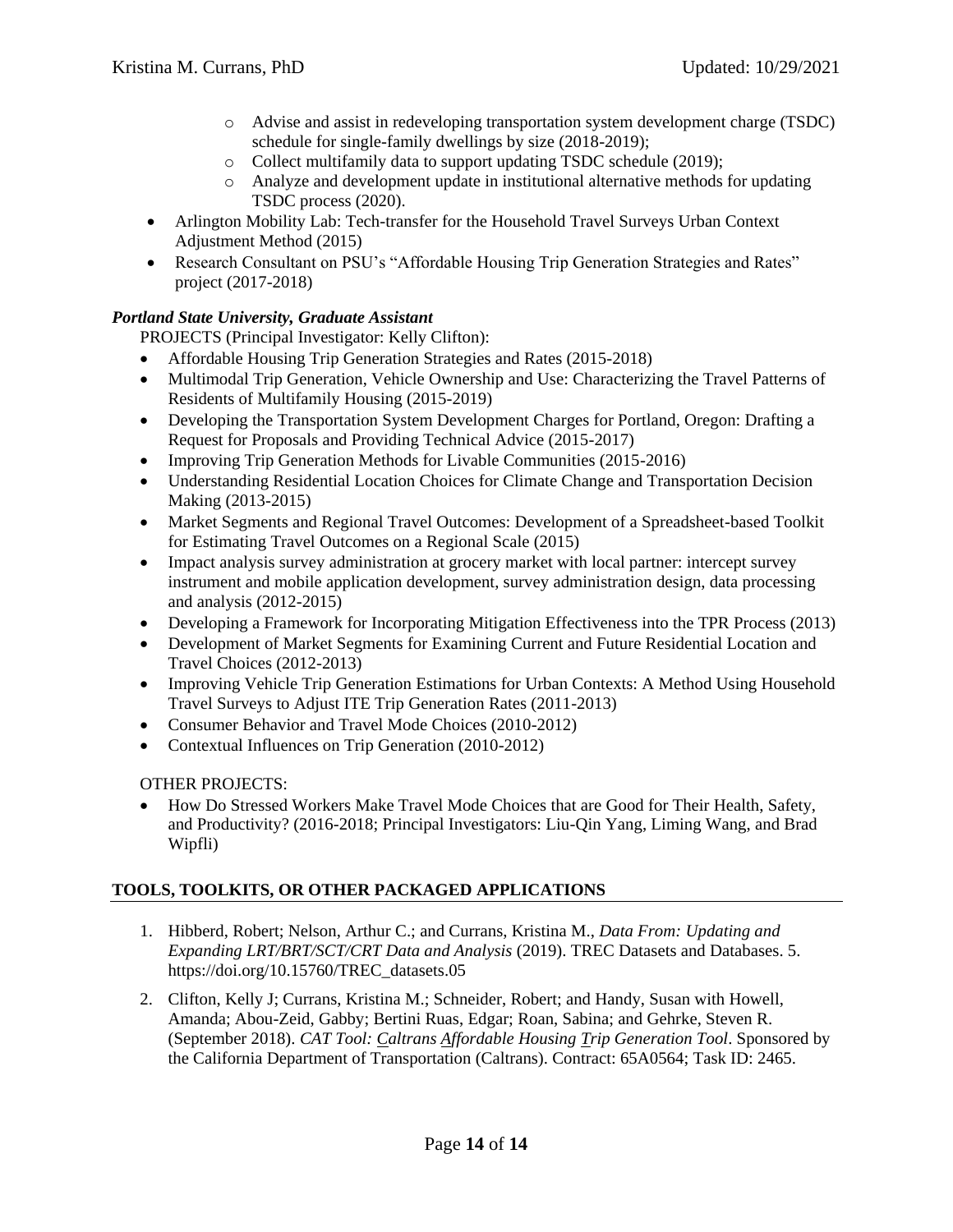- o Advise and assist in redeveloping transportation system development charge (TSDC) schedule for single-family dwellings by size (2018-2019);
- o Collect multifamily data to support updating TSDC schedule (2019);
- o Analyze and development update in institutional alternative methods for updating TSDC process (2020).
- Arlington Mobility Lab: Tech-transfer for the Household Travel Surveys Urban Context Adjustment Method (2015)
- Research Consultant on PSU's "Affordable Housing Trip Generation Strategies and Rates" project (2017-2018)

## *Portland State University, Graduate Assistant*

PROJECTS (Principal Investigator: Kelly Clifton):

- Affordable Housing Trip Generation Strategies and Rates (2015-2018)
- Multimodal Trip Generation, Vehicle Ownership and Use: Characterizing the Travel Patterns of Residents of Multifamily Housing (2015-2019)
- Developing the Transportation System Development Charges for Portland, Oregon: Drafting a Request for Proposals and Providing Technical Advice (2015-2017)
- Improving Trip Generation Methods for Livable Communities (2015-2016)
- Understanding Residential Location Choices for Climate Change and Transportation Decision Making (2013-2015)
- Market Segments and Regional Travel Outcomes: Development of a Spreadsheet-based Toolkit for Estimating Travel Outcomes on a Regional Scale (2015)
- Impact analysis survey administration at grocery market with local partner: intercept survey instrument and mobile application development, survey administration design, data processing and analysis (2012-2015)
- Developing a Framework for Incorporating Mitigation Effectiveness into the TPR Process (2013)
- Development of Market Segments for Examining Current and Future Residential Location and Travel Choices (2012-2013)
- Improving Vehicle Trip Generation Estimations for Urban Contexts: A Method Using Household Travel Surveys to Adjust ITE Trip Generation Rates (2011-2013)
- Consumer Behavior and Travel Mode Choices (2010-2012)
- Contextual Influences on Trip Generation (2010-2012)

#### OTHER PROJECTS:

 How Do Stressed Workers Make Travel Mode Choices that are Good for Their Health, Safety, and Productivity? (2016-2018; Principal Investigators: Liu-Qin Yang, Liming Wang, and Brad Wipfli)

## **TOOLS, TOOLKITS, OR OTHER PACKAGED APPLICATIONS**

- 1. Hibberd, Robert; Nelson, Arthur C.; and Currans, Kristina M., *Data From: Updating and Expanding LRT/BRT/SCT/CRT Data and Analysis* (2019). TREC Datasets and Databases. 5. https://doi.org/10.15760/TREC\_datasets.05
- 2. Clifton, Kelly J; Currans, Kristina M.; Schneider, Robert; and Handy, Susan with Howell, Amanda; Abou-Zeid, Gabby; Bertini Ruas, Edgar; Roan, Sabina; and Gehrke, Steven R. (September 2018). *CAT Tool: Caltrans Affordable Housing Trip Generation Tool*. Sponsored by the California Department of Transportation (Caltrans). Contract: 65A0564; Task ID: 2465.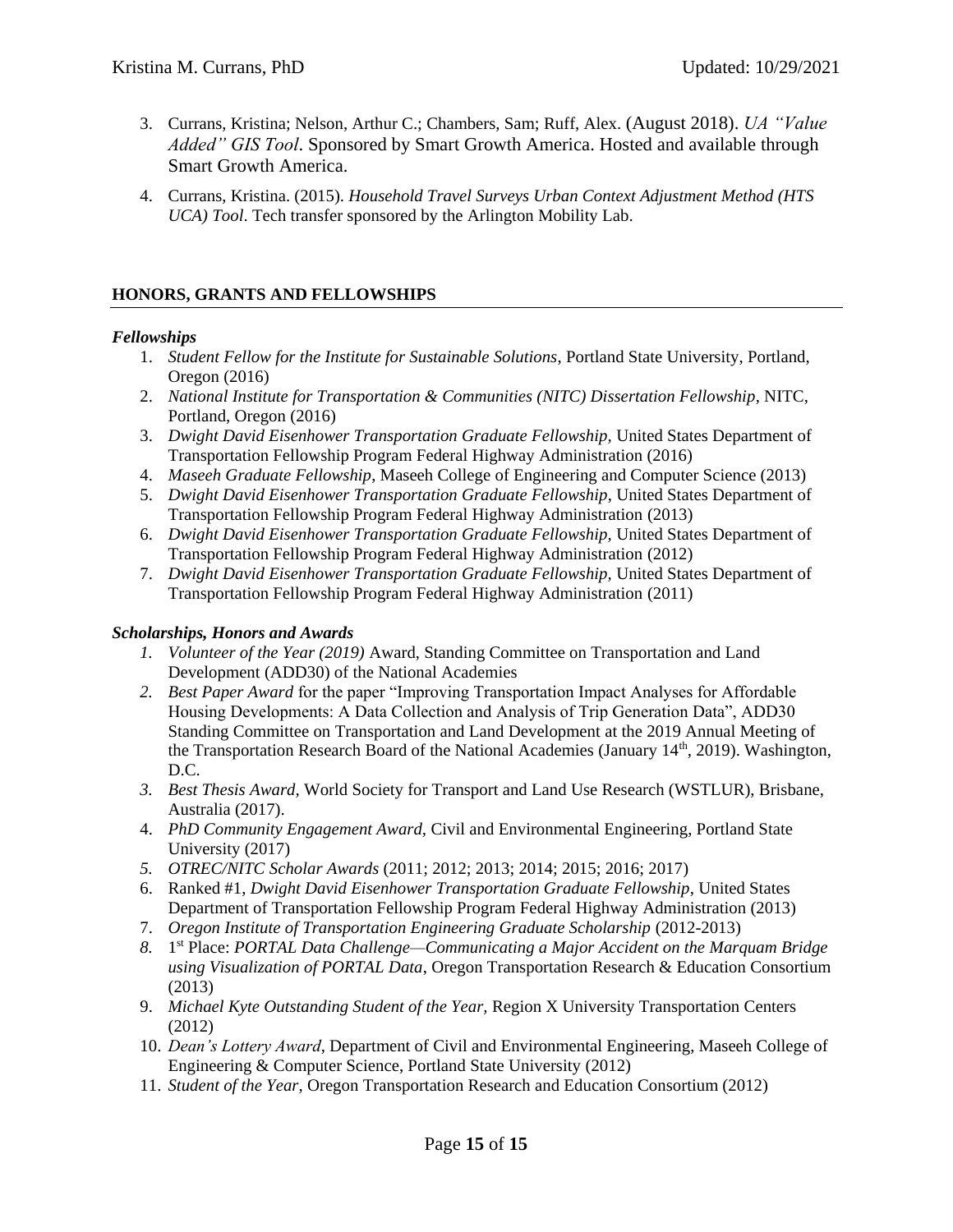- 3. Currans, Kristina; Nelson, Arthur C.; Chambers, Sam; Ruff, Alex. (August 2018). *UA "Value Added" GIS Tool*. Sponsored by Smart Growth America. Hosted and available through Smart Growth America.
- 4. Currans, Kristina. (2015). *Household Travel Surveys Urban Context Adjustment Method (HTS UCA) Tool*. Tech transfer sponsored by the Arlington Mobility Lab.

## **HONORS, GRANTS AND FELLOWSHIPS**

#### *Fellowships*

- 1. *Student Fellow for the Institute for Sustainable Solutions*, Portland State University, Portland, Oregon (2016)
- 2. *National Institute for Transportation & Communities (NITC) Dissertation Fellowship*, NITC, Portland, Oregon (2016)
- 3. *Dwight David Eisenhower Transportation Graduate Fellowship,* United States Department of Transportation Fellowship Program Federal Highway Administration (2016)
- 4. *Maseeh Graduate Fellowship*, Maseeh College of Engineering and Computer Science (2013)
- 5. *Dwight David Eisenhower Transportation Graduate Fellowship*, United States Department of Transportation Fellowship Program Federal Highway Administration (2013)
- 6. *Dwight David Eisenhower Transportation Graduate Fellowship,* United States Department of Transportation Fellowship Program Federal Highway Administration (2012)
- 7. *Dwight David Eisenhower Transportation Graduate Fellowship,* United States Department of Transportation Fellowship Program Federal Highway Administration (2011)

#### *Scholarships, Honors and Awards*

- *1. Volunteer of the Year (2019)* Award, Standing Committee on Transportation and Land Development (ADD30) of the National Academies
- *2. Best Paper Award* for the paper "Improving Transportation Impact Analyses for Affordable Housing Developments: A Data Collection and Analysis of Trip Generation Data", ADD30 Standing Committee on Transportation and Land Development at the 2019 Annual Meeting of the Transportation Research Board of the National Academies (January  $14<sup>th</sup>$ , 2019). Washington, D.C.
- *3. Best Thesis Award,* World Society for Transport and Land Use Research (WSTLUR), Brisbane, Australia (2017).
- 4. *PhD Community Engagement Award,* Civil and Environmental Engineering, Portland State University (2017)
- *5. OTREC/NITC Scholar Awards* (2011; 2012; 2013; 2014; 2015; 2016; 2017)
- 6. Ranked #1, *Dwight David Eisenhower Transportation Graduate Fellowship*, United States Department of Transportation Fellowship Program Federal Highway Administration (2013)
- 7. *Oregon Institute of Transportation Engineering Graduate Scholarship* (2012-2013)
- *8.* 1 st Place: *PORTAL Data Challenge—Communicating a Major Accident on the Marquam Bridge using Visualization of PORTAL Data*, Oregon Transportation Research & Education Consortium (2013)
- 9. *Michael Kyte Outstanding Student of the Year,* Region X University Transportation Centers (2012)
- 10. *Dean's Lottery Award*, Department of Civil and Environmental Engineering, Maseeh College of Engineering & Computer Science, Portland State University (2012)
- 11. *Student of the Year*, Oregon Transportation Research and Education Consortium (2012)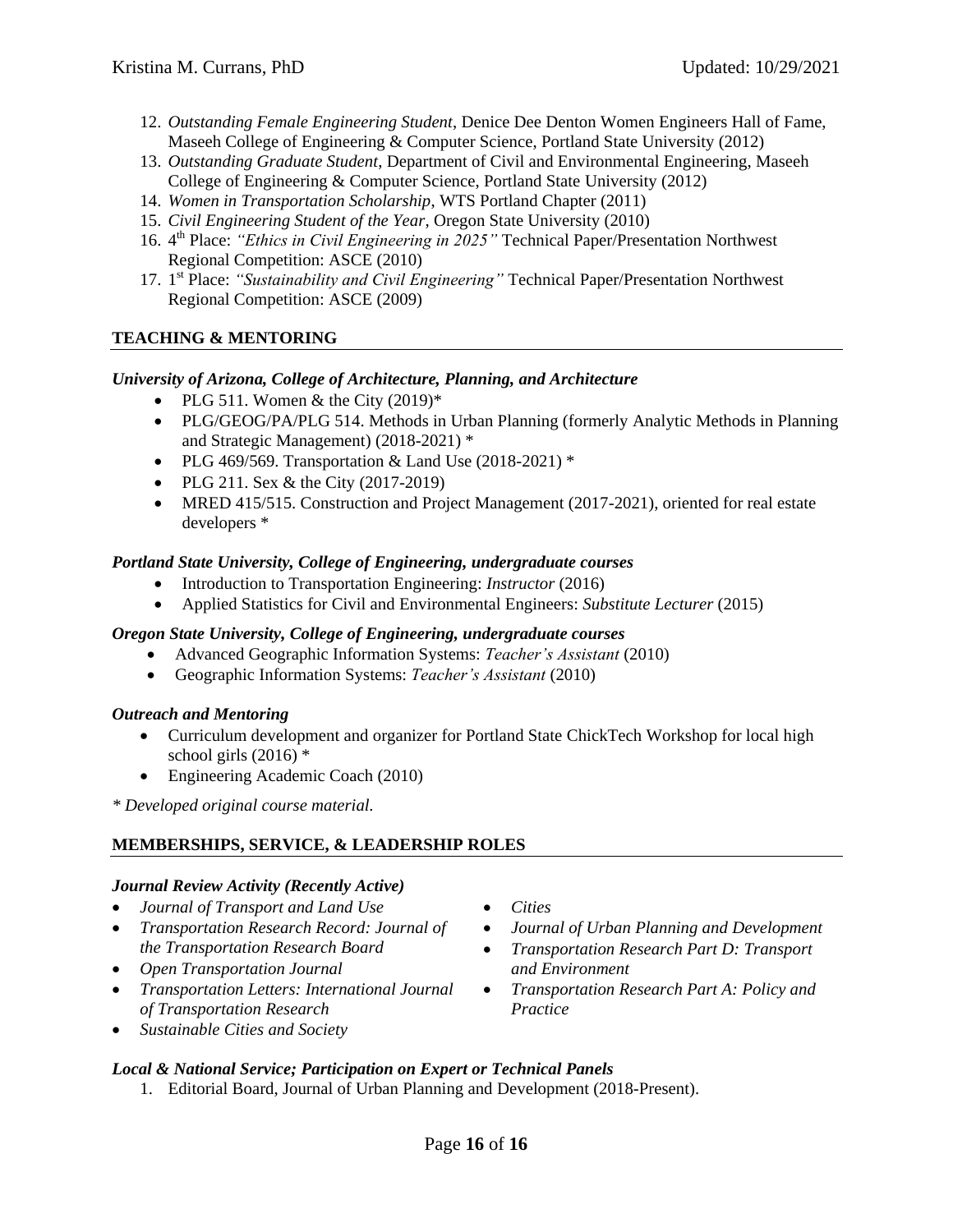- 12. *Outstanding Female Engineering Student*, Denice Dee Denton Women Engineers Hall of Fame, Maseeh College of Engineering & Computer Science, Portland State University (2012)
- 13. *Outstanding Graduate Student*, Department of Civil and Environmental Engineering, Maseeh College of Engineering & Computer Science, Portland State University (2012)
- 14. *Women in Transportation Scholarship*, WTS Portland Chapter (2011)
- 15. *Civil Engineering Student of the Year*, Oregon State University (2010)
- 16. 4<sup>th</sup> Place: "Ethics in Civil Engineering in 2025" Technical Paper/Presentation Northwest Regional Competition: ASCE (2010)
- 17. 1 st Place: *"Sustainability and Civil Engineering"* Technical Paper/Presentation Northwest Regional Competition: ASCE (2009)

## **TEACHING & MENTORING**

#### *University of Arizona, College of Architecture, Planning, and Architecture*

- PLG 511. Women  $\&$  the City (2019)\*
- PLG/GEOG/PA/PLG 514. Methods in Urban Planning (formerly Analytic Methods in Planning and Strategic Management) (2018-2021) \*
- PLG 469/569. Transportation & Land Use  $(2018-2021)$  \*
- PLG 211. Sex  $&$  the City (2017-2019)
- MRED 415/515. Construction and Project Management (2017-2021), oriented for real estate developers \*

#### *Portland State University, College of Engineering, undergraduate courses*

- Introduction to Transportation Engineering: *Instructor* (2016)
- Applied Statistics for Civil and Environmental Engineers: *Substitute Lecturer* (2015)

#### *Oregon State University, College of Engineering, undergraduate courses*

- Advanced Geographic Information Systems: *Teacher's Assistant* (2010)
- Geographic Information Systems: *Teacher's Assistant* (2010)

#### *Outreach and Mentoring*

- Curriculum development and organizer for Portland State ChickTech Workshop for local high school girls  $(2016)$  \*
- Engineering Academic Coach (2010)

*\* Developed original course material.*

## **MEMBERSHIPS, SERVICE, & LEADERSHIP ROLES**

#### *Journal Review Activity (Recently Active)*

- *Journal of Transport and Land Use*
- *Transportation Research Record: Journal of the Transportation Research Board*
- *Open Transportation Journal*
- *Transportation Letters: International Journal of Transportation Research*
- *Sustainable Cities and Society*

#### *Local & National Service; Participation on Expert or Technical Panels*

1. Editorial Board, Journal of Urban Planning and Development (2018-Present).

- *Cities*
- *Journal of Urban Planning and Development*
- *Transportation Research Part D: Transport and Environment*
- *Transportation Research Part A: Policy and Practice*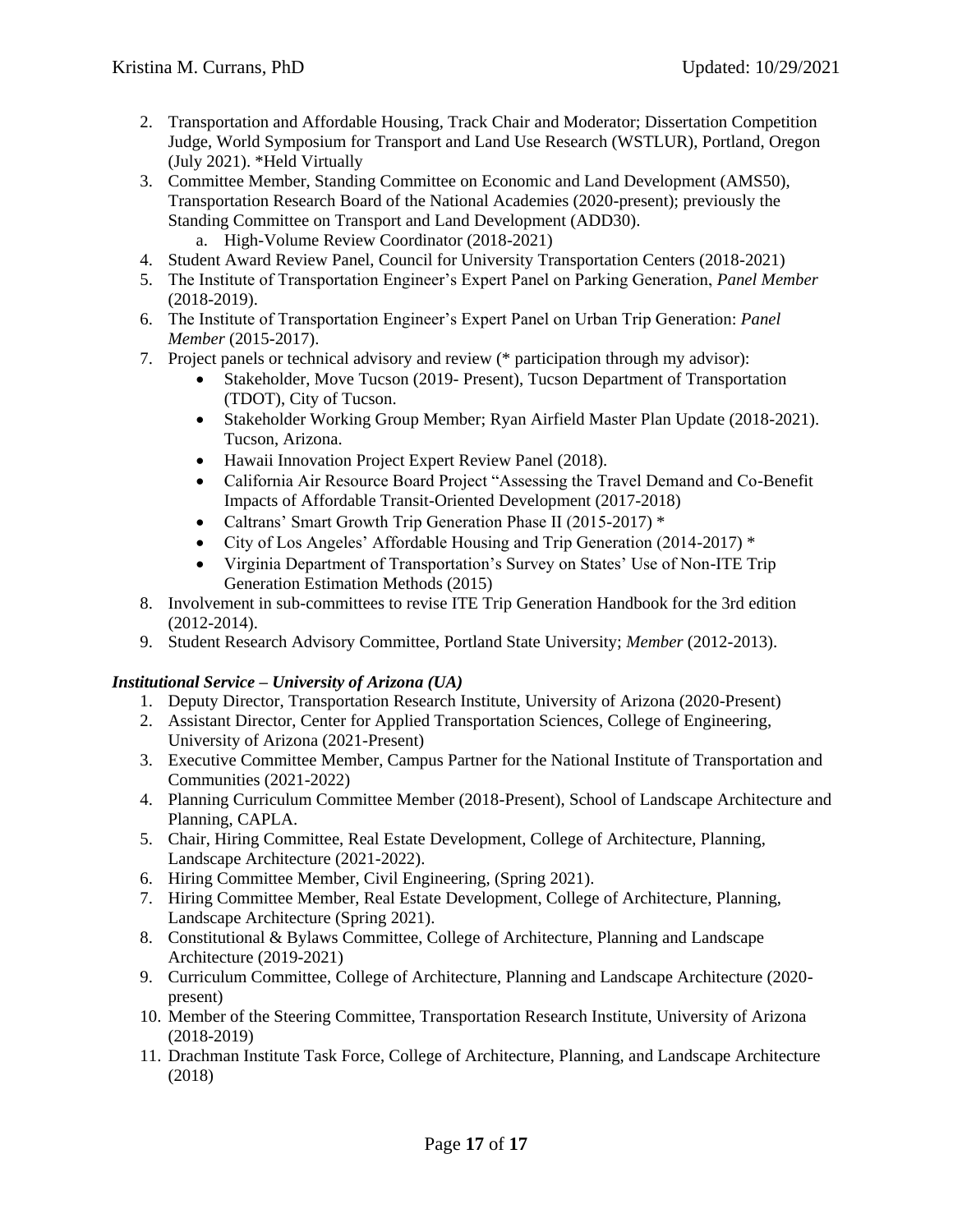- 2. Transportation and Affordable Housing, Track Chair and Moderator; Dissertation Competition Judge, World Symposium for Transport and Land Use Research (WSTLUR), Portland, Oregon (July 2021). \*Held Virtually
- 3. Committee Member, Standing Committee on Economic and Land Development (AMS50), Transportation Research Board of the National Academies (2020-present); previously the Standing Committee on Transport and Land Development (ADD30).
	- a. High-Volume Review Coordinator (2018-2021)
- 4. Student Award Review Panel, Council for University Transportation Centers (2018-2021)
- 5. The Institute of Transportation Engineer's Expert Panel on Parking Generation, *Panel Member* (2018-2019).
- 6. The Institute of Transportation Engineer's Expert Panel on Urban Trip Generation: *Panel Member* (2015-2017).
- 7. Project panels or technical advisory and review (\* participation through my advisor):
	- Stakeholder, Move Tucson (2019- Present), Tucson Department of Transportation (TDOT), City of Tucson.
	- Stakeholder Working Group Member; Ryan Airfield Master Plan Update (2018-2021). Tucson, Arizona.
	- Hawaii Innovation Project Expert Review Panel (2018).
	- California Air Resource Board Project "Assessing the Travel Demand and Co-Benefit Impacts of Affordable Transit-Oriented Development (2017-2018)
	- Caltrans' Smart Growth Trip Generation Phase II (2015-2017) \*
	- City of Los Angeles' Affordable Housing and Trip Generation (2014-2017) \*
	- Virginia Department of Transportation's Survey on States' Use of Non-ITE Trip Generation Estimation Methods (2015)
- 8. Involvement in sub-committees to revise ITE Trip Generation Handbook for the 3rd edition (2012-2014).
- 9. Student Research Advisory Committee, Portland State University; *Member* (2012-2013).

## *Institutional Service – University of Arizona (UA)*

- 1. Deputy Director, Transportation Research Institute, University of Arizona (2020-Present)
- 2. Assistant Director, Center for Applied Transportation Sciences, College of Engineering, University of Arizona (2021-Present)
- 3. Executive Committee Member, Campus Partner for the National Institute of Transportation and Communities (2021-2022)
- 4. Planning Curriculum Committee Member (2018-Present), School of Landscape Architecture and Planning, CAPLA.
- 5. Chair, Hiring Committee, Real Estate Development, College of Architecture, Planning, Landscape Architecture (2021-2022).
- 6. Hiring Committee Member, Civil Engineering, (Spring 2021).
- 7. Hiring Committee Member, Real Estate Development, College of Architecture, Planning, Landscape Architecture (Spring 2021).
- 8. Constitutional & Bylaws Committee, College of Architecture, Planning and Landscape Architecture (2019-2021)
- 9. Curriculum Committee, College of Architecture, Planning and Landscape Architecture (2020 present)
- 10. Member of the Steering Committee, Transportation Research Institute, University of Arizona (2018-2019)
- 11. Drachman Institute Task Force, College of Architecture, Planning, and Landscape Architecture (2018)